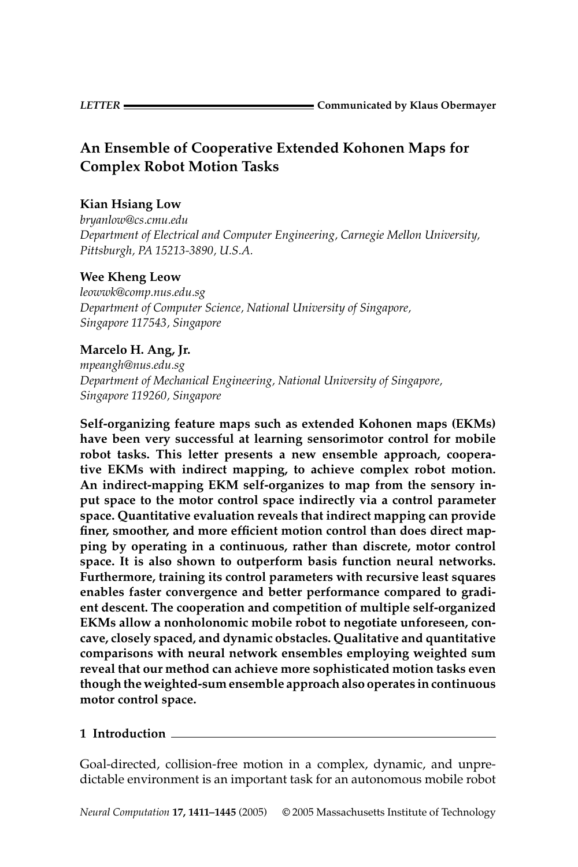# An Ensemble of Cooperative Extended Kohonen Maps for **Complex Robot Motion Tasks**

# **Kian Hsiang Low**

bruanlow@cs.cmu.edu Department of Electrical and Computer Engineering, Carnegie Mellon University, Pittsburgh, PA 15213-3890, U.S.A.

# **Wee Kheng Leow**

leowwk@comp.nus.edu.sg Department of Computer Science, National University of Singapore, Singapore 117543, Singapore

# Marcelo H. Ang, Jr.

mpeangh@nus.edu.sg Department of Mechanical Engineering, National University of Singapore, Singapore 119260, Singapore

Self-organizing feature maps such as extended Kohonen maps (EKMs) have been very successful at learning sensorimotor control for mobile robot tasks. This letter presents a new ensemble approach, cooperative EKMs with indirect mapping, to achieve complex robot motion. An indirect-mapping EKM self-organizes to map from the sensory input space to the motor control space indirectly via a control parameter space. Quantitative evaluation reveals that indirect mapping can provide finer, smoother, and more efficient motion control than does direct mapping by operating in a continuous, rather than discrete, motor control space. It is also shown to outperform basis function neural networks. Furthermore, training its control parameters with recursive least squares enables faster convergence and better performance compared to gradient descent. The cooperation and competition of multiple self-organized EKMs allow a nonholonomic mobile robot to negotiate unforeseen, concave, closely spaced, and dynamic obstacles. Qualitative and quantitative comparisons with neural network ensembles employing weighted sum reveal that our method can achieve more sophisticated motion tasks even though the weighted-sum ensemble approach also operates in continuous motor control space.

## 1 Introduction

Goal-directed, collision-free motion in a complex, dynamic, and unpredictable environment is an important task for an autonomous mobile robot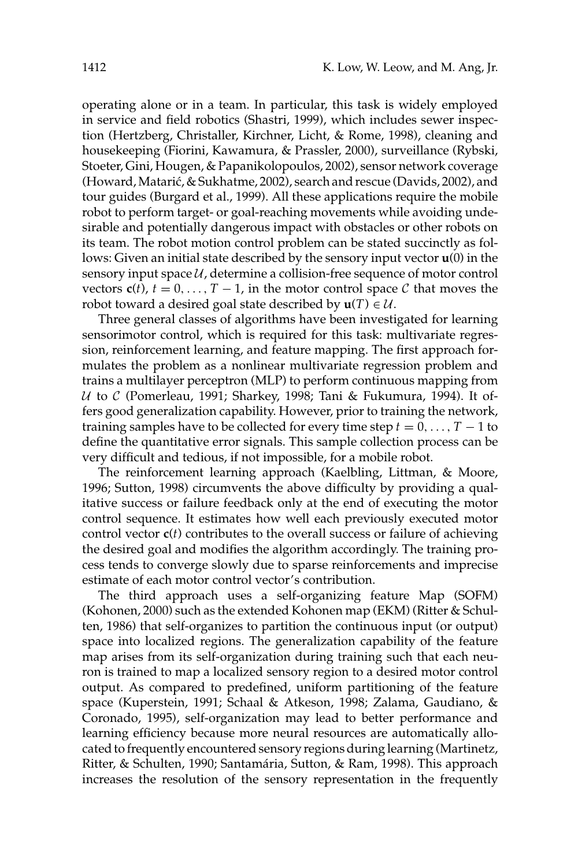operating alone or in a team. In particular, this task is widely employed in service and field robotics (Shastri, 1999), which includes sewer inspection (Hertzberg, Christaller, Kirchner, Licht, & Rome, 1998), cleaning and housekeeping (Fiorini, Kawamura, & Prassler, 2000), surveillance (Rybski, Stoeter, Gini, Hougen, & Papanikolopoulos, 2002), sensor network coverage (Howard, Matarić, & Sukhatme, 2002), search and rescue (Davids, 2002), and tour guides (Burgard et al., 1999). All these applications require the mobile robot to perform target- or goal-reaching movements while avoiding undesirable and potentially dangerous impact with obstacles or other robots on its team. The robot motion control problem can be stated succinctly as follows: Given an initial state described by the sensory input vector  $\mathbf{u}(0)$  in the sensory input space  $U$ , determine a collision-free sequence of motor control vectors  $c(t)$ ,  $t = 0, ..., T - 1$ , in the motor control space C that moves the robot toward a desired goal state described by  $\mathbf{u}(T) \in \mathcal{U}$ .

Three general classes of algorithms have been investigated for learning sensorimotor control, which is required for this task: multivariate regression, reinforcement learning, and feature mapping. The first approach formulates the problem as a nonlinear multivariate regression problem and trains a multilayer perceptron (MLP) to perform continuous mapping from  $U$  to  $C$  (Pomerleau, 1991; Sharkey, 1998; Tani & Fukumura, 1994). It offers good generalization capability. However, prior to training the network, training samples have to be collected for every time step  $t = 0, ..., T - 1$  to define the quantitative error signals. This sample collection process can be very difficult and tedious, if not impossible, for a mobile robot.

The reinforcement learning approach (Kaelbling, Littman, & Moore, 1996; Sutton, 1998) circumvents the above difficulty by providing a qualitative success or failure feedback only at the end of executing the motor control sequence. It estimates how well each previously executed motor control vector  $c(t)$  contributes to the overall success or failure of achieving the desired goal and modifies the algorithm accordingly. The training process tends to converge slowly due to sparse reinforcements and imprecise estimate of each motor control vector's contribution.

The third approach uses a self-organizing feature Map (SOFM) (Kohonen, 2000) such as the extended Kohonen map (EKM) (Ritter & Schulten, 1986) that self-organizes to partition the continuous input (or output) space into localized regions. The generalization capability of the feature map arises from its self-organization during training such that each neuron is trained to map a localized sensory region to a desired motor control output. As compared to predefined, uniform partitioning of the feature space (Kuperstein, 1991; Schaal & Atkeson, 1998; Zalama, Gaudiano, & Coronado, 1995), self-organization may lead to better performance and learning efficiency because more neural resources are automatically allocated to frequently encountered sensory regions during learning (Martinetz, Ritter, & Schulten, 1990; Santamária, Sutton, & Ram, 1998). This approach increases the resolution of the sensory representation in the frequently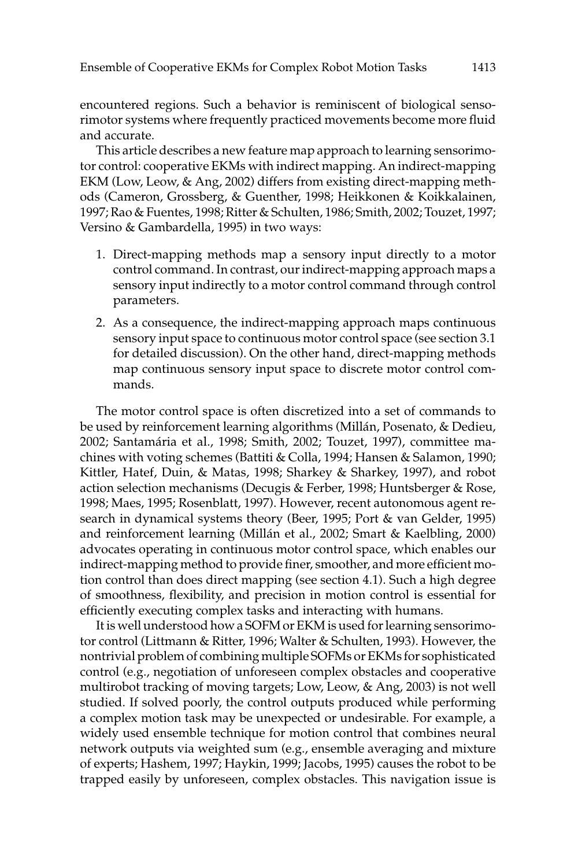encountered regions. Such a behavior is reminiscent of biological sensorimotor systems where frequently practiced movements become more fluid and accurate.

This article describes a new feature map approach to learning sensorimotor control: cooperative EKMs with indirect mapping. An indirect-mapping EKM (Low, Leow, & Ang, 2002) differs from existing direct-mapping methods (Cameron, Grossberg, & Guenther, 1998; Heikkonen & Koikkalainen, 1997; Rao & Fuentes, 1998; Ritter & Schulten, 1986; Smith, 2002; Touzet, 1997; Versino & Gambardella, 1995) in two ways:

- 1. Direct-mapping methods map a sensory input directly to a motor control command. In contrast, our indirect-mapping approach maps a sensory input indirectly to a motor control command through control parameters.
- 2. As a consequence, the indirect-mapping approach maps continuous sensory input space to continuous motor control space (see section 3.1) for detailed discussion). On the other hand, direct-mapping methods map continuous sensory input space to discrete motor control commands.

The motor control space is often discretized into a set of commands to be used by reinforcement learning algorithms (Millán, Posenato, & Dedieu, 2002; Santamária et al., 1998; Smith, 2002; Touzet, 1997), committee machines with voting schemes (Battiti & Colla, 1994; Hansen & Salamon, 1990; Kittler, Hatef, Duin, & Matas, 1998; Sharkey & Sharkey, 1997), and robot action selection mechanisms (Decugis & Ferber, 1998; Huntsberger & Rose, 1998; Maes, 1995; Rosenblatt, 1997). However, recent autonomous agent research in dynamical systems theory (Beer, 1995; Port & van Gelder, 1995) and reinforcement learning (Millán et al., 2002; Smart & Kaelbling, 2000) advocates operating in continuous motor control space, which enables our indirect-mapping method to provide finer, smoother, and more efficient motion control than does direct mapping (see section 4.1). Such a high degree of smoothness, flexibility, and precision in motion control is essential for efficiently executing complex tasks and interacting with humans.

It is well understood how a SOFM or EKM is used for learning sensorimotor control (Littmann & Ritter, 1996; Walter & Schulten, 1993). However, the nontrivial problem of combining multiple SOFMs or EKMs for sophisticated control (e.g., negotiation of unforeseen complex obstacles and cooperative multirobot tracking of moving targets; Low, Leow, & Ang, 2003) is not well studied. If solved poorly, the control outputs produced while performing a complex motion task may be unexpected or undesirable. For example, a widely used ensemble technique for motion control that combines neural network outputs via weighted sum (e.g., ensemble averaging and mixture of experts; Hashem, 1997; Haykin, 1999; Jacobs, 1995) causes the robot to be trapped easily by unforeseen, complex obstacles. This navigation issue is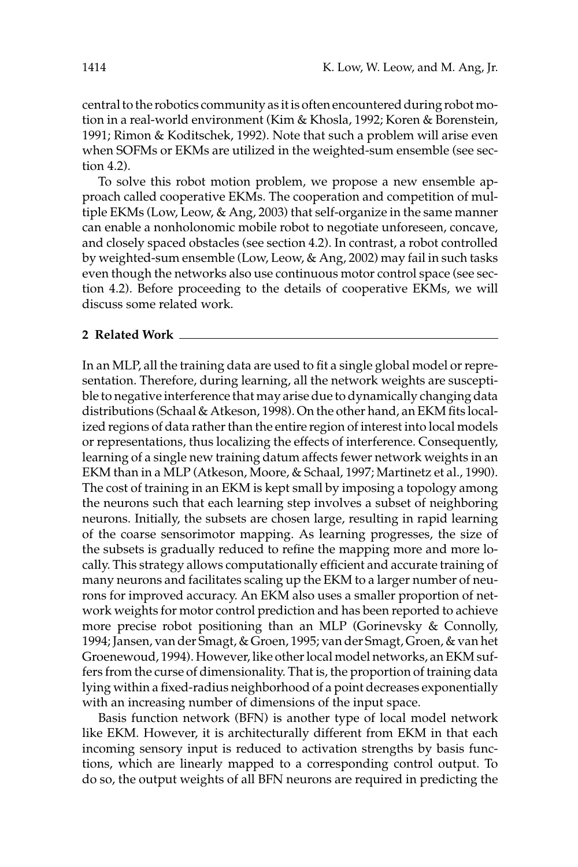central to the robotics community as it is often encountered during robot motion in a real-world environment (Kim & Khosla, 1992; Koren & Borenstein, 1991; Rimon & Koditschek, 1992). Note that such a problem will arise even when SOFMs or EKMs are utilized in the weighted-sum ensemble (see section  $4.2$ ).

To solve this robot motion problem, we propose a new ensemble approach called cooperative EKMs. The cooperation and competition of multiple EKMs (Low, Leow, & Ang, 2003) that self-organize in the same manner can enable a nonholonomic mobile robot to negotiate unforeseen, concave, and closely spaced obstacles (see section 4.2). In contrast, a robot controlled by weighted-sum ensemble (Low, Leow, & Ang, 2002) may fail in such tasks even though the networks also use continuous motor control space (see section 4.2). Before proceeding to the details of cooperative EKMs, we will discuss some related work.

#### 2 Related Work

In an MLP, all the training data are used to fit a single global model or representation. Therefore, during learning, all the network weights are susceptible to negative interference that may arise due to dynamically changing data distributions (Schaal & Atkeson, 1998). On the other hand, an EKM fits localized regions of data rather than the entire region of interest into local models or representations, thus localizing the effects of interference. Consequently, learning of a single new training datum affects fewer network weights in an EKM than in a MLP (Atkeson, Moore, & Schaal, 1997; Martinetz et al., 1990). The cost of training in an EKM is kept small by imposing a topology among the neurons such that each learning step involves a subset of neighboring neurons. Initially, the subsets are chosen large, resulting in rapid learning of the coarse sensorimotor mapping. As learning progresses, the size of the subsets is gradually reduced to refine the mapping more and more locally. This strategy allows computationally efficient and accurate training of many neurons and facilitates scaling up the EKM to a larger number of neurons for improved accuracy. An EKM also uses a smaller proportion of network weights for motor control prediction and has been reported to achieve more precise robot positioning than an MLP (Gorinevsky & Connolly, 1994; Jansen, van der Smagt, & Groen, 1995; van der Smagt, Groen, & van het Groenewoud, 1994). However, like other local model networks, an EKM suffers from the curse of dimensionality. That is, the proportion of training data lying within a fixed-radius neighborhood of a point decreases exponentially with an increasing number of dimensions of the input space.

Basis function network (BFN) is another type of local model network like EKM. However, it is architecturally different from EKM in that each incoming sensory input is reduced to activation strengths by basis functions, which are linearly mapped to a corresponding control output. To do so, the output weights of all BFN neurons are required in predicting the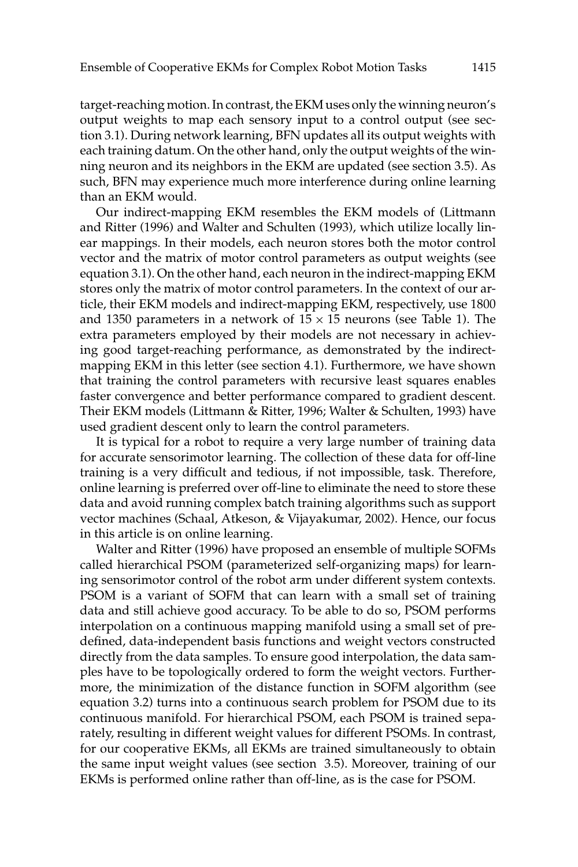target-reaching motion. In contrast, the EKM uses only the winning neuron's output weights to map each sensory input to a control output (see section 3.1). During network learning, BFN updates all its output weights with each training datum. On the other hand, only the output weights of the winning neuron and its neighbors in the EKM are updated (see section 3.5). As such, BFN may experience much more interference during online learning than an EKM would.

Our indirect-mapping EKM resembles the EKM models of (Littmann and Ritter (1996) and Walter and Schulten (1993), which utilize locally linear mappings. In their models, each neuron stores both the motor control vector and the matrix of motor control parameters as output weights (see equation 3.1). On the other hand, each neuron in the indirect-mapping EKM stores only the matrix of motor control parameters. In the context of our article, their EKM models and indirect-mapping EKM, respectively, use 1800 and 1350 parameters in a network of  $15 \times 15$  neurons (see Table 1). The extra parameters employed by their models are not necessary in achieving good target-reaching performance, as demonstrated by the indirectmapping EKM in this letter (see section 4.1). Furthermore, we have shown that training the control parameters with recursive least squares enables faster convergence and better performance compared to gradient descent. Their EKM models (Littmann & Ritter, 1996; Walter & Schulten, 1993) have used gradient descent only to learn the control parameters.

It is typical for a robot to require a very large number of training data for accurate sensorimotor learning. The collection of these data for off-line training is a very difficult and tedious, if not impossible, task. Therefore, online learning is preferred over off-line to eliminate the need to store these data and avoid running complex batch training algorithms such as support vector machines (Schaal, Atkeson, & Vijayakumar, 2002). Hence, our focus in this article is on online learning.

Walter and Ritter (1996) have proposed an ensemble of multiple SOFMs called hierarchical PSOM (parameterized self-organizing maps) for learning sensorimotor control of the robot arm under different system contexts. PSOM is a variant of SOFM that can learn with a small set of training data and still achieve good accuracy. To be able to do so, PSOM performs interpolation on a continuous mapping manifold using a small set of predefined, data-independent basis functions and weight vectors constructed directly from the data samples. To ensure good interpolation, the data samples have to be topologically ordered to form the weight vectors. Furthermore, the minimization of the distance function in SOFM algorithm (see equation 3.2) turns into a continuous search problem for PSOM due to its continuous manifold. For hierarchical PSOM, each PSOM is trained separately, resulting in different weight values for different PSOMs. In contrast, for our cooperative EKMs, all EKMs are trained simultaneously to obtain the same input weight values (see section 3.5). Moreover, training of our EKMs is performed online rather than off-line, as is the case for PSOM.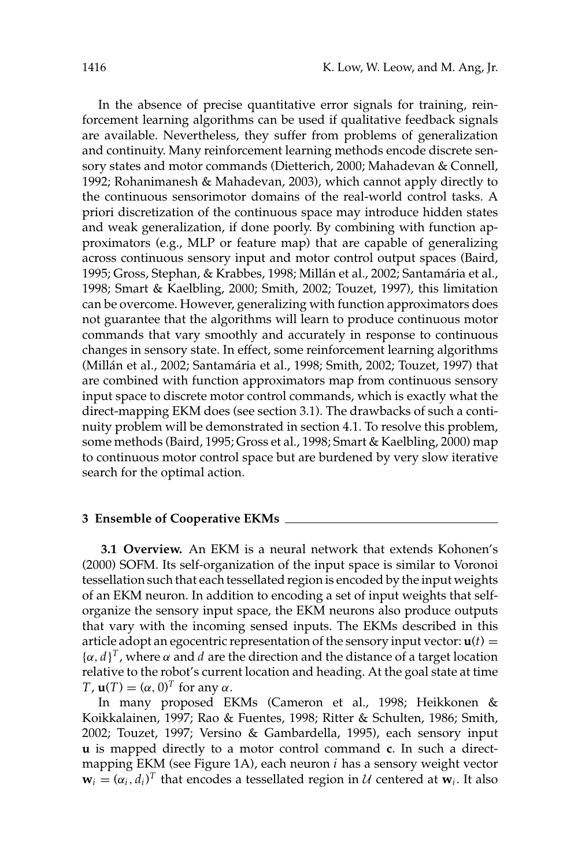In the absence of precise quantitative error signals for training, reinforcement learning algorithms can be used if qualitative feedback signals are available. Nevertheless, they suffer from problems of generalization and continuity. Many reinforcement learning methods encode discrete sensory states and motor commands (Dietterich, 2000; Mahadevan & Connell, 1992; Rohanimanesh & Mahadevan, 2003), which cannot apply directly to the continuous sensorimotor domains of the real-world control tasks. A priori discretization of the continuous space may introduce hidden states and weak generalization, if done poorly. By combining with function approximators (e.g., MLP or feature map) that are capable of generalizing across continuous sensory input and motor control output spaces (Baird, 1995; Gross, Stephan, & Krabbes, 1998; Millán et al., 2002; Santamária et al., 1998; Smart & Kaelbling, 2000; Smith, 2002; Touzet, 1997), this limitation can be overcome. However, generalizing with function approximators does not guarantee that the algorithms will learn to produce continuous motor commands that vary smoothly and accurately in response to continuous changes in sensory state. In effect, some reinforcement learning algorithms (Millán et al., 2002; Santamária et al., 1998; Smith, 2002; Touzet, 1997) that are combined with function approximators map from continuous sensory input space to discrete motor control commands, which is exactly what the direct-mapping EKM does (see section 3.1). The drawbacks of such a continuity problem will be demonstrated in section 4.1. To resolve this problem, some methods (Baird, 1995; Gross et al., 1998; Smart & Kaelbling, 2000) map to continuous motor control space but are burdened by very slow iterative search for the optimal action.

#### 3 Ensemble of Cooperative EKMs \_

**3.1 Overview.** An EKM is a neural network that extends Kohonen's (2000) SOFM. Its self-organization of the input space is similar to Voronoi tessellation such that each tessellated region is encoded by the input weights of an EKM neuron. In addition to encoding a set of input weights that selforganize the sensory input space, the EKM neurons also produce outputs that vary with the incoming sensed inputs. The EKMs described in this article adopt an egocentric representation of the sensory input vector:  $\mathbf{u}(t)$  =  $\{\alpha, d\}^T$ , where  $\alpha$  and  $d$  are the direction and the distance of a target location relative to the robot's current location and heading. At the goal state at time  $T$ ,  $\mathbf{u}(T) = (\alpha, 0)^T$  for any  $\alpha$ .

In many proposed EKMs (Cameron et al., 1998; Heikkonen & Koikkalainen, 1997; Rao & Fuentes, 1998; Ritter & Schulten, 1986; Smith, 2002; Touzet, 1997; Versino & Gambardella, 1995), each sensory input u is mapped directly to a motor control command c. In such a directmapping EKM (see Figure 1A), each neuron *i* has a sensory weight vector  $\mathbf{w}_i = (\alpha_i, d_i)^T$  that encodes a tessellated region in U centered at  $\mathbf{w}_i$ . It also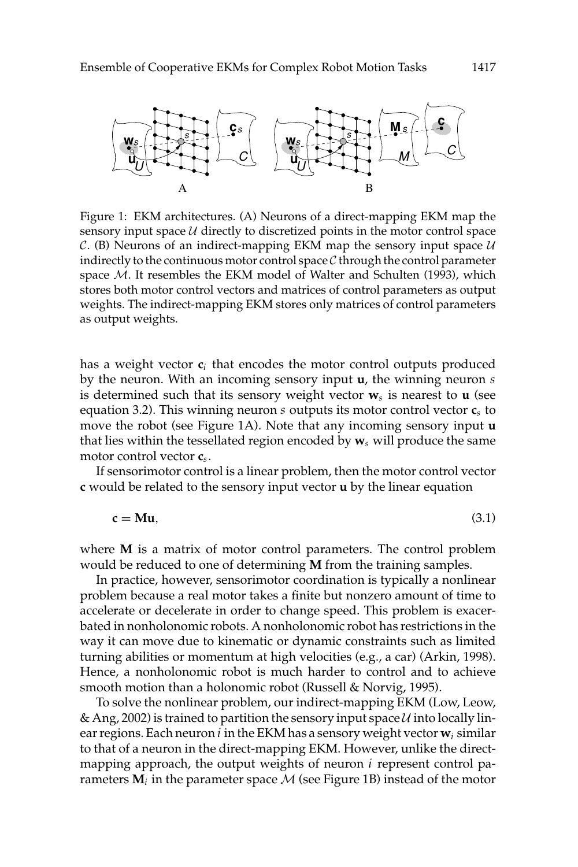

Figure 1: EKM architectures. (A) Neurons of a direct-mapping EKM map the sensory input space  $U$  directly to discretized points in the motor control space  $C.$  (B) Neurons of an indirect-mapping EKM map the sensory input space  $U$ indirectly to the continuous motor control space  $C$  through the control parameter space M. It resembles the EKM model of Walter and Schulten (1993), which stores both motor control vectors and matrices of control parameters as output weights. The indirect-mapping EKM stores only matrices of control parameters as output weights.

has a weight vector  $c_i$  that encodes the motor control outputs produced by the neuron. With an incoming sensory input  $\mathbf{u}$ , the winning neuron  $s$ is determined such that its sensory weight vector  $w_s$  is nearest to **u** (see equation 3.2). This winning neuron s outputs its motor control vector  $c_s$  to move the robot (see Figure 1A). Note that any incoming sensory input u that lies within the tessellated region encoded by  $w_s$  will produce the same motor control vector  $c_s$ .

If sensorimotor control is a linear problem, then the motor control vector c would be related to the sensory input vector **u** by the linear equation

$$
c = Mu, \tag{3.1}
$$

where M is a matrix of motor control parameters. The control problem would be reduced to one of determining  $\overline{M}$  from the training samples.

In practice, however, sensorimotor coordination is typically a nonlinear problem because a real motor takes a finite but nonzero amount of time to accelerate or decelerate in order to change speed. This problem is exacerbated in nonholonomic robots. A nonholonomic robot has restrictions in the way it can move due to kinematic or dynamic constraints such as limited turning abilities or momentum at high velocities (e.g., a car) (Arkin, 1998). Hence, a nonholonomic robot is much harder to control and to achieve smooth motion than a holonomic robot (Russell & Norvig, 1995).

To solve the nonlinear problem, our indirect-mapping EKM (Low, Leow, & Ang, 2002) is trained to partition the sensory input space  $U$  into locally linear regions. Each neuron  $i$  in the EKM has a sensory weight vector  $w_i$  similar to that of a neuron in the direct-mapping EKM. However, unlike the directmapping approach, the output weights of neuron  $i$  represent control parameters  $\overrightarrow{M_i}$  in the parameter space  $\overrightarrow{M}$  (see Figure 1B) instead of the motor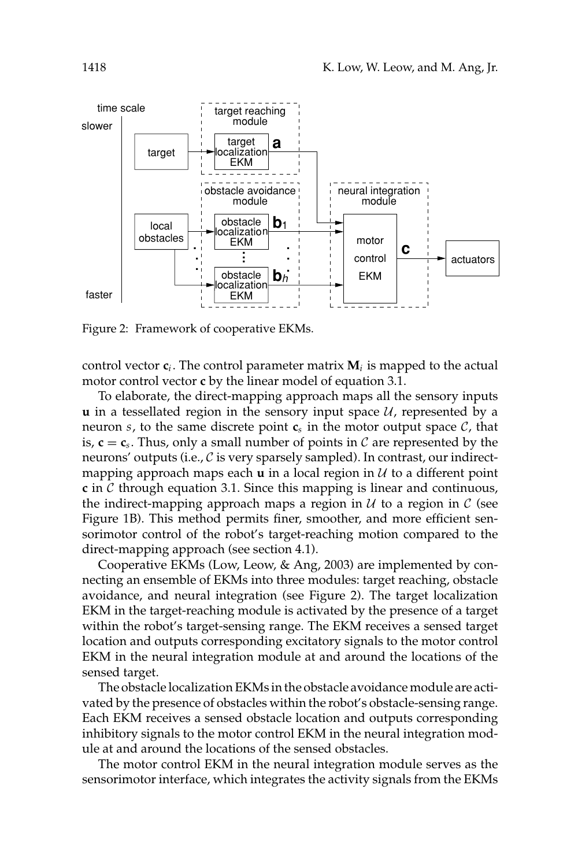

Figure 2: Framework of cooperative EKMs.

control vector  $c_i$ . The control parameter matrix  $M_i$  is mapped to the actual motor control vector c by the linear model of equation 3.1.

To elaborate, the direct-mapping approach maps all the sensory inputs  $\bf{u}$  in a tessellated region in the sensory input space  $\mathcal{U}$ , represented by a neuron s, to the same discrete point  $c_s$  in the motor output space  $C$ , that is,  $c = c_s$ . Thus, only a small number of points in C are represented by the neurons' outputs (i.e., C is very sparsely sampled). In contrast, our indirectmapping approach maps each  $\bf{u}$  in a local region in  $\cal{U}$  to a different point c in  $\mathcal C$  through equation 3.1. Since this mapping is linear and continuous, the indirect-mapping approach maps a region in  $U$  to a region in  $C$  (see Figure 1B). This method permits finer, smoother, and more efficient sensorimotor control of the robot's target-reaching motion compared to the direct-mapping approach (see section 4.1).

Cooperative EKMs (Low, Leow, & Ang, 2003) are implemented by connecting an ensemble of EKMs into three modules: target reaching, obstacle avoidance, and neural integration (see Figure 2). The target localization EKM in the target-reaching module is activated by the presence of a target within the robot's target-sensing range. The EKM receives a sensed target location and outputs corresponding excitatory signals to the motor control EKM in the neural integration module at and around the locations of the sensed target.

The obstacle localization EKMs in the obstacle avoidance module are activated by the presence of obstacles within the robot's obstacle-sensing range. Each EKM receives a sensed obstacle location and outputs corresponding inhibitory signals to the motor control EKM in the neural integration module at and around the locations of the sensed obstacles.

The motor control EKM in the neural integration module serves as the sensorimotor interface, which integrates the activity signals from the EKMs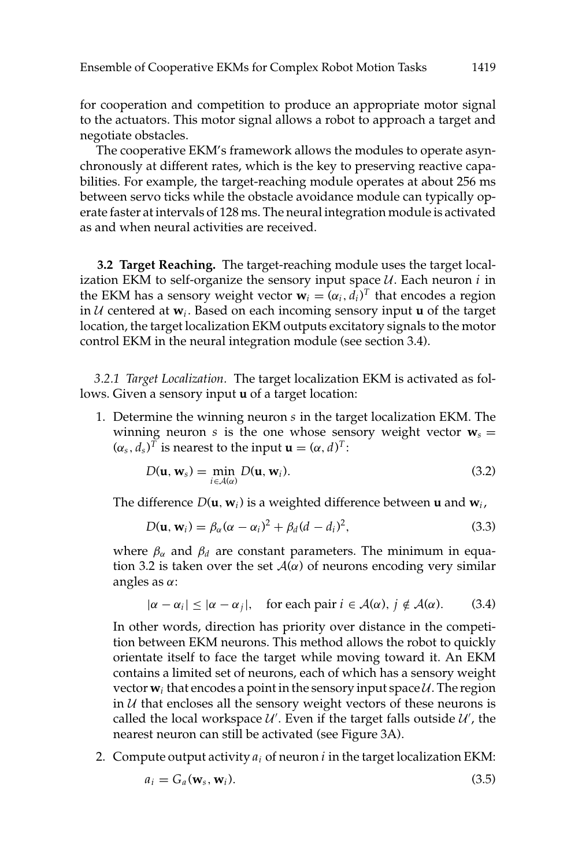for cooperation and competition to produce an appropriate motor signal to the actuators. This motor signal allows a robot to approach a target and negotiate obstacles.

The cooperative EKM's framework allows the modules to operate asynchronously at different rates, which is the key to preserving reactive capabilities. For example, the target-reaching module operates at about 256 ms between servo ticks while the obstacle avoidance module can typically operate faster at intervals of 128 ms. The neural integration module is activated as and when neural activities are received.

3.2 Target Reaching. The target-reaching module uses the target localization EKM to self-organize the sensory input space  $U$ . Each neuron  $i$  in the EKM has a sensory weight vector  $\mathbf{w}_i = (\alpha_i, d_i)^T$  that encodes a region in  $U$  centered at  $w_i$ . Based on each incoming sensory input **u** of the target location, the target localization EKM outputs excitatory signals to the motor control EKM in the neural integration module (see section 3.4).

3.2.1 Target Localization. The target localization EKM is activated as follows. Given a sensory input **u** of a target location:

1. Determine the winning neuron s in the target localization EKM. The winning neuron s is the one whose sensory weight vector  $w_s =$  $(\alpha_s, d_s)^T$  is nearest to the input  $\mathbf{u} = (\alpha, d)^T$ :

$$
D(\mathbf{u}, \mathbf{w}_s) = \min_{i \in \mathcal{A}(\alpha)} D(\mathbf{u}, \mathbf{w}_i). \tag{3.2}
$$

The difference  $D(\mathbf{u}, \mathbf{w}_i)$  is a weighted difference between **u** and  $\mathbf{w}_i$ ,

$$
D(\mathbf{u}, \mathbf{w}_i) = \beta_\alpha (\alpha - \alpha_i)^2 + \beta_d (d - d_i)^2, \tag{3.3}
$$

where  $\beta_{\alpha}$  and  $\beta_d$  are constant parameters. The minimum in equation 3.2 is taken over the set  $\mathcal{A}(\alpha)$  of neurons encoding very similar angles as  $\alpha$ :

$$
|\alpha - \alpha_i| \le |\alpha - \alpha_j|, \quad \text{for each pair } i \in \mathcal{A}(\alpha), j \notin \mathcal{A}(\alpha). \tag{3.4}
$$

In other words, direction has priority over distance in the competition between EKM neurons. This method allows the robot to quickly orientate itself to face the target while moving toward it. An EKM contains a limited set of neurons, each of which has a sensory weight vector  $w_i$  that encodes a point in the sensory input space  $U$ . The region in  $U$  that encloses all the sensory weight vectors of these neurons is called the local workspace  $\mathcal{U}'$ . Even if the target falls outside  $\mathcal{U}'$ , the nearest neuron can still be activated (see Figure 3A).

2. Compute output activity  $a_i$  of neuron i in the target localization EKM:

$$
a_i = G_a(\mathbf{w}_s, \mathbf{w}_i). \tag{3.5}
$$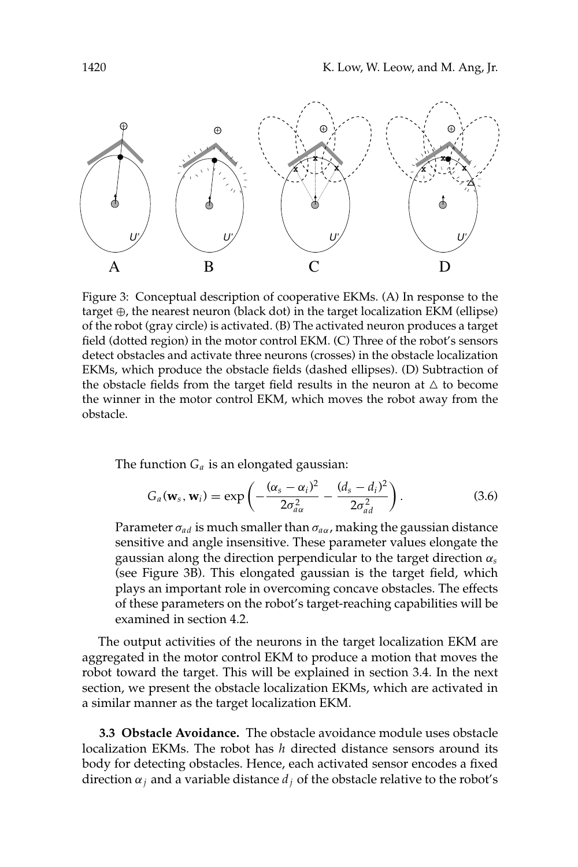

Figure 3: Conceptual description of cooperative EKMs. (A) In response to the target  $\oplus$ , the nearest neuron (black dot) in the target localization EKM (ellipse) of the robot (gray circle) is activated. (B) The activated neuron produces a target field (dotted region) in the motor control EKM. (C) Three of the robot's sensors detect obstacles and activate three neurons (crosses) in the obstacle localization EKMs, which produce the obstacle fields (dashed ellipses). (D) Subtraction of the obstacle fields from the target field results in the neuron at  $\Delta$  to become the winner in the motor control EKM, which moves the robot away from the obstacle.

The function  $G_a$  is an elongated gaussian:

$$
G_a(\mathbf{w}_s, \mathbf{w}_i) = \exp\left(-\frac{(\alpha_s - \alpha_i)^2}{2\sigma_{aa}^2} - \frac{(d_s - d_i)^2}{2\sigma_{ad}^2}\right).
$$
 (3.6)

Parameter  $\sigma_{ad}$  is much smaller than  $\sigma_{a\alpha}$ , making the gaussian distance sensitive and angle insensitive. These parameter values elongate the gaussian along the direction perpendicular to the target direction  $\alpha_s$ (see Figure 3B). This elongated gaussian is the target field, which plays an important role in overcoming concave obstacles. The effects of these parameters on the robot's target-reaching capabilities will be examined in section 4.2.

The output activities of the neurons in the target localization EKM are aggregated in the motor control EKM to produce a motion that moves the robot toward the target. This will be explained in section 3.4. In the next section, we present the obstacle localization EKMs, which are activated in a similar manner as the target localization EKM.

3.3 Obstacle Avoidance. The obstacle avoidance module uses obstacle localization EKMs. The robot has  $h$  directed distance sensors around its body for detecting obstacles. Hence, each activated sensor encodes a fixed direction  $\alpha_i$  and a variable distance  $d_i$  of the obstacle relative to the robot's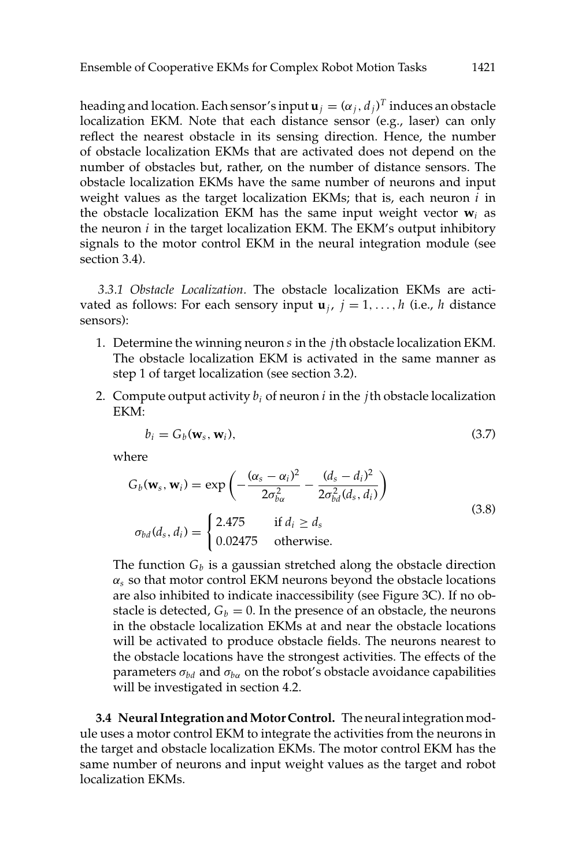heading and location. Each sensor's input  $\mathbf{u}_j = (\alpha_j, d_j)^T$  induces an obstacle localization EKM. Note that each distance sensor (e.g., laser) can only reflect the nearest obstacle in its sensing direction. Hence, the number of obstacle localization EKMs that are activated does not depend on the number of obstacles but, rather, on the number of distance sensors. The obstacle localization EKMs have the same number of neurons and input weight values as the target localization EKMs; that is, each neuron  $i$  in the obstacle localization EKM has the same input weight vector  $w_i$  as the neuron  $i$  in the target localization EKM. The EKM's output inhibitory signals to the motor control EKM in the neural integration module (see section 3.4).

3.3.1 Obstacle Localization. The obstacle localization EKMs are activated as follows: For each sensory input  $\mathbf{u}_i$ ,  $j = 1, ..., h$  (i.e., h distance sensors):

- 1. Determine the winning neuron  $s$  in the  $j$ th obstacle localization EKM. The obstacle localization EKM is activated in the same manner as step 1 of target localization (see section 3.2).
- 2. Compute output activity  $b_i$  of neuron i in the jth obstacle localization EKM:

$$
b_i = G_b(\mathbf{w}_s, \mathbf{w}_i), \tag{3.7}
$$

where

$$
G_b(\mathbf{w}_s, \mathbf{w}_i) = \exp\left(-\frac{(\alpha_s - \alpha_i)^2}{2\sigma_{ba}^2} - \frac{(d_s - d_i)^2}{2\sigma_{bd}^2(d_s, d_i)}\right)
$$
  
\n
$$
\sigma_{bd}(d_s, d_i) = \begin{cases} 2.475 & \text{if } d_i \ge d_s \\ 0.02475 & \text{otherwise.} \end{cases}
$$
\n(3.8)

The function  $G_b$  is a gaussian stretched along the obstacle direction  $\alpha_s$  so that motor control EKM neurons beyond the obstacle locations are also inhibited to indicate inaccessibility (see Figure 3C). If no obstacle is detected,  $G_b = 0$ . In the presence of an obstacle, the neurons in the obstacle localization EKMs at and near the obstacle locations will be activated to produce obstacle fields. The neurons nearest to the obstacle locations have the strongest activities. The effects of the parameters  $\sigma_{bd}$  and  $\sigma_{ba}$  on the robot's obstacle avoidance capabilities will be investigated in section 4.2.

3.4 Neural Integration and Motor Control. The neural integration module uses a motor control EKM to integrate the activities from the neurons in the target and obstacle localization EKMs. The motor control EKM has the same number of neurons and input weight values as the target and robot localization EKMs.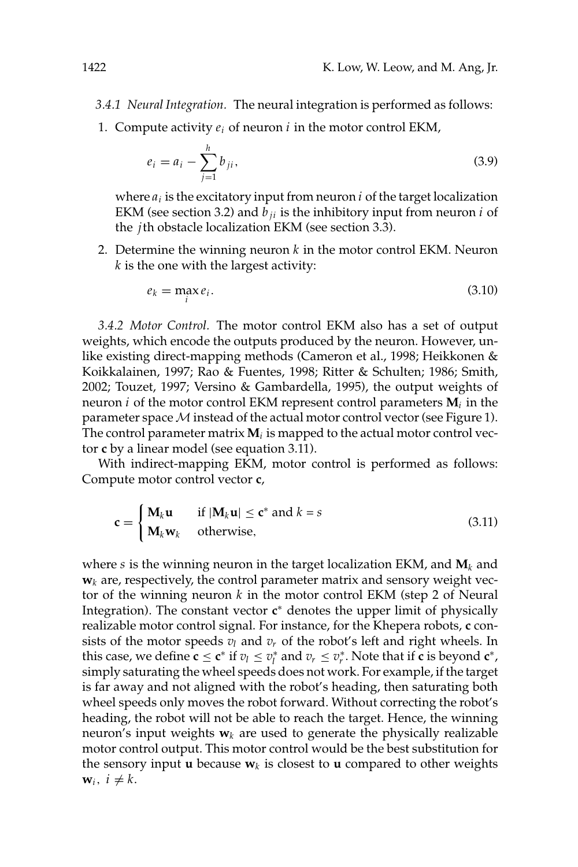- 3.4.1 Neural Integration. The neural integration is performed as follows:
- 1. Compute activity  $e_i$  of neuron i in the motor control EKM,

$$
e_i = a_i - \sum_{j=1}^h b_{ji},\tag{3.9}
$$

where  $a_i$  is the excitatory input from neuron  $i$  of the target localization EKM (see section 3.2) and  $b_{ii}$  is the inhibitory input from neuron *i* of the *i*th obstacle localization EKM (see section 3.3).

2. Determine the winning neuron  $k$  in the motor control EKM. Neuron  $k$  is the one with the largest activity:

$$
e_k = \max_i e_i. \tag{3.10}
$$

3.4.2 Motor Control. The motor control EKM also has a set of output weights, which encode the outputs produced by the neuron. However, unlike existing direct-mapping methods (Cameron et al., 1998; Heikkonen & Koikkalainen, 1997; Rao & Fuentes, 1998; Ritter & Schulten; 1986; Smith, 2002; Touzet, 1997; Versino & Gambardella, 1995), the output weights of neuron  $i$  of the motor control EKM represent control parameters  $M_i$  in the parameter space M instead of the actual motor control vector (see Figure 1). The control parameter matrix  $M_i$  is mapped to the actual motor control vector c by a linear model (see equation 3.11).

With indirect-mapping EKM, motor control is performed as follows: Compute motor control vector c,

$$
\mathbf{c} = \begin{cases} \mathbf{M}_k \mathbf{u} & \text{if } |\mathbf{M}_k \mathbf{u}| \le \mathbf{c}^* \text{ and } k = s \\ \mathbf{M}_k \mathbf{w}_k & \text{otherwise,} \end{cases}
$$
(3.11)

where s is the winning neuron in the target localization EKM, and  $M_k$  and  $\mathbf{w}_k$  are, respectively, the control parameter matrix and sensory weight vector of the winning neuron  $k$  in the motor control EKM (step 2 of Neural Integration). The constant vector  $c^*$  denotes the upper limit of physically realizable motor control signal. For instance, for the Khepera robots, c consists of the motor speeds  $v_l$  and  $v_r$  of the robot's left and right wheels. In this case, we define  $\mathbf{c} \leq \mathbf{c}^*$  if  $v_l \leq v_l^*$  and  $v_r \leq v_r^*$ . Note that if  $\mathbf{c}$  is beyond  $\mathbf{c}^*$ , simply saturating the wheel speeds does not work. For example, if the target is far away and not aligned with the robot's heading, then saturating both wheel speeds only moves the robot forward. Without correcting the robot's heading, the robot will not be able to reach the target. Hence, the winning neuron's input weights  $w_k$  are used to generate the physically realizable motor control output. This motor control would be the best substitution for the sensory input **u** because  $w_k$  is closest to **u** compared to other weights  $\mathbf{w}_i, i \neq k.$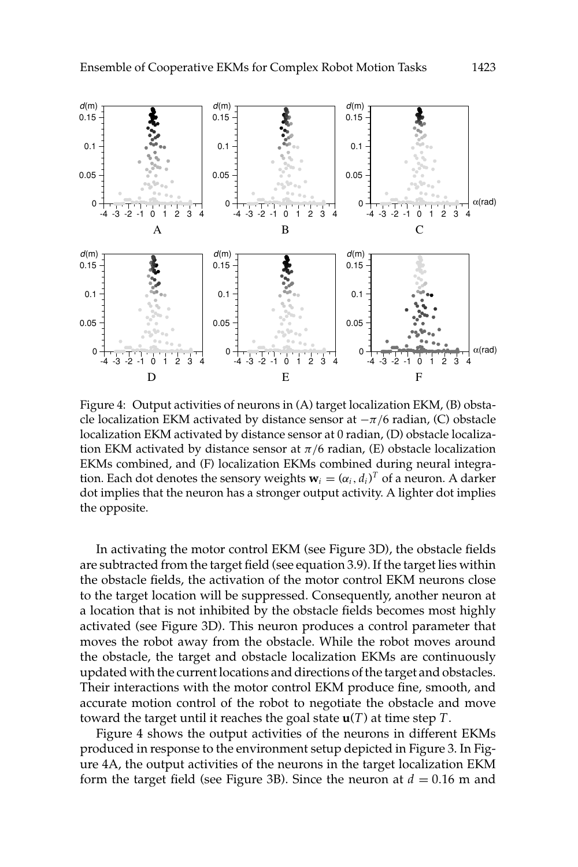

Figure 4: Output activities of neurons in (A) target localization EKM, (B) obstacle localization EKM activated by distance sensor at  $-\pi/6$  radian, (C) obstacle localization EKM activated by distance sensor at 0 radian, (D) obstacle localization EKM activated by distance sensor at  $\pi/6$  radian, (E) obstacle localization EKMs combined, and (F) localization EKMs combined during neural integration. Each dot denotes the sensory weights  $\mathbf{w}_i = (\alpha_i, d_i)^T$  of a neuron. A darker dot implies that the neuron has a stronger output activity. A lighter dot implies the opposite.

In activating the motor control EKM (see Figure 3D), the obstacle fields are subtracted from the target field (see equation 3.9). If the target lies within the obstacle fields, the activation of the motor control EKM neurons close to the target location will be suppressed. Consequently, another neuron at a location that is not inhibited by the obstacle fields becomes most highly activated (see Figure 3D). This neuron produces a control parameter that moves the robot away from the obstacle. While the robot moves around the obstacle, the target and obstacle localization EKMs are continuously updated with the current locations and directions of the target and obstacles. Their interactions with the motor control EKM produce fine, smooth, and accurate motion control of the robot to negotiate the obstacle and move toward the target until it reaches the goal state  $\mathbf{u}(T)$  at time step T.

Figure 4 shows the output activities of the neurons in different EKMs produced in response to the environment setup depicted in Figure 3. In Figure 4A, the output activities of the neurons in the target localization EKM form the target field (see Figure 3B). Since the neuron at  $d = 0.16$  m and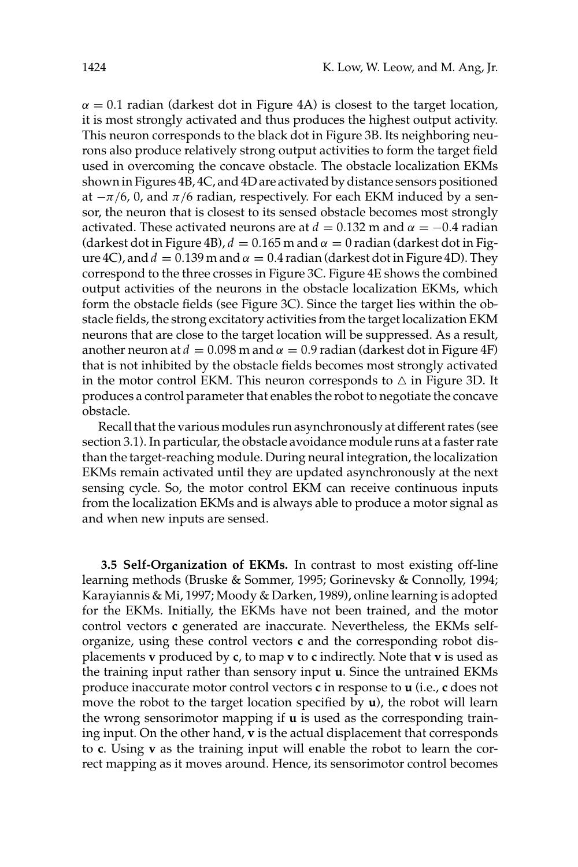$\alpha$  = 0.1 radian (darkest dot in Figure 4A) is closest to the target location, it is most strongly activated and thus produces the highest output activity. This neuron corresponds to the black dot in Figure 3B. Its neighboring neurons also produce relatively strong output activities to form the target field used in overcoming the concave obstacle. The obstacle localization EKMs shown in Figures 4B, 4C, and 4D are activated by distance sensors positioned at  $-\pi/6$ , 0, and  $\pi/6$  radian, respectively. For each EKM induced by a sensor, the neuron that is closest to its sensed obstacle becomes most strongly activated. These activated neurons are at  $d = 0.132$  m and  $\alpha = -0.4$  radian (darkest dot in Figure 4B),  $d = 0.165$  m and  $\alpha = 0$  radian (darkest dot in Figure 4C), and  $d = 0.139$  m and  $\alpha = 0.4$  radian (darkest dot in Figure 4D). They correspond to the three crosses in Figure 3C. Figure 4E shows the combined output activities of the neurons in the obstacle localization EKMs, which form the obstacle fields (see Figure 3C). Since the target lies within the obstacle fields, the strong excitatory activities from the target localization EKM neurons that are close to the target location will be suppressed. As a result, another neuron at  $d = 0.098$  m and  $\alpha = 0.9$  radian (darkest dot in Figure 4F) that is not inhibited by the obstacle fields becomes most strongly activated in the motor control EKM. This neuron corresponds to  $\triangle$  in Figure 3D. It produces a control parameter that enables the robot to negotiate the concave obstacle.

Recall that the various modules run asynchronously at different rates (see section 3.1). In particular, the obstacle avoidance module runs at a faster rate than the target-reaching module. During neural integration, the localization EKMs remain activated until they are updated asynchronously at the next sensing cycle. So, the motor control EKM can receive continuous inputs from the localization EKMs and is always able to produce a motor signal as and when new inputs are sensed.

3.5 Self-Organization of EKMs. In contrast to most existing off-line learning methods (Bruske & Sommer, 1995; Gorinevsky & Connolly, 1994; Karayiannis & Mi, 1997; Moody & Darken, 1989), online learning is adopted for the EKMs. Initially, the EKMs have not been trained, and the motor control vectors c generated are inaccurate. Nevertheless, the EKMs selforganize, using these control vectors  $c$  and the corresponding robot displacements v produced by c, to map v to c indirectly. Note that v is used as the training input rather than sensory input **u**. Since the untrained EKMs produce inaccurate motor control vectors c in response to u (i.e., c does not move the robot to the target location specified by  $u$ ), the robot will learn the wrong sensorimotor mapping if **u** is used as the corresponding training input. On the other hand, v is the actual displacement that corresponds to c. Using v as the training input will enable the robot to learn the correct mapping as it moves around. Hence, its sensorimotor control becomes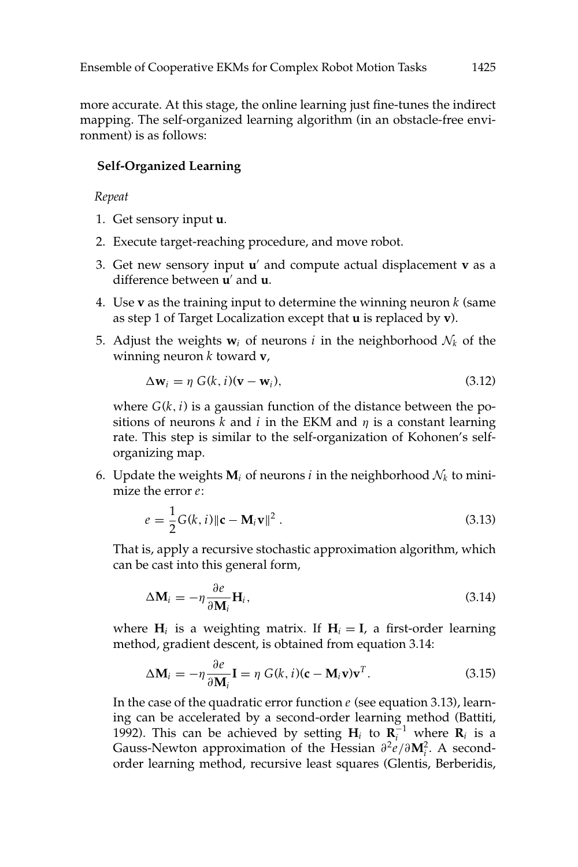more accurate. At this stage, the online learning just fine-tunes the indirect mapping. The self-organized learning algorithm (in an obstacle-free environment) is as follows:

### **Self-Organized Learning**

### Repeat

- 1. Get sensory input **u**.
- 2. Execute target-reaching procedure, and move robot.
- 3. Get new sensory input  $u'$  and compute actual displacement  $v$  as a difference between u' and u.
- 4. Use **v** as the training input to determine the winning neuron  $k$  (same as step 1 of Target Localization except that u is replaced by v).
- 5. Adjust the weights  $w_i$  of neurons *i* in the neighborhood  $\mathcal{N}_k$  of the winning neuron  $k$  toward  $v$ ,

$$
\Delta \mathbf{w}_i = \eta \ G(k, i)(\mathbf{v} - \mathbf{w}_i), \tag{3.12}
$$

where  $G(k, i)$  is a gaussian function of the distance between the positions of neurons  $\vec{k}$  and  $\hat{i}$  in the EKM and  $\eta$  is a constant learning rate. This step is similar to the self-organization of Kohonen's selforganizing map.

6. Update the weights  $M_i$  of neurons *i* in the neighborhood  $\mathcal{N}_k$  to minimize the error  $e$ :

$$
e = \frac{1}{2}G(k, i) ||\mathbf{c} - \mathbf{M}_i \mathbf{v}||^2.
$$
 (3.13)

That is, apply a recursive stochastic approximation algorithm, which can be cast into this general form,

$$
\Delta \mathbf{M}_i = -\eta \frac{\partial e}{\partial \mathbf{M}_i} \mathbf{H}_i, \tag{3.14}
$$

where  $H_i$  is a weighting matrix. If  $H_i = I$ , a first-order learning method, gradient descent, is obtained from equation 3.14:

$$
\Delta \mathbf{M}_i = -\eta \frac{\partial e}{\partial \mathbf{M}_i} \mathbf{I} = \eta \ G(k, i) (\mathbf{c} - \mathbf{M}_i \mathbf{v}) \mathbf{v}^T.
$$
 (3.15)

In the case of the quadratic error function  $e$  (see equation 3.13), learning can be accelerated by a second-order learning method (Battiti, 1992). This can be achieved by setting  $H_i$  to  $R_i^{-1}$  where  $R_i$  is a Gauss-Newton approximation of the Hessian  $\partial^2 e/\partial M_i^2$ . A secondorder learning method, recursive least squares (Glentis, Berberidis,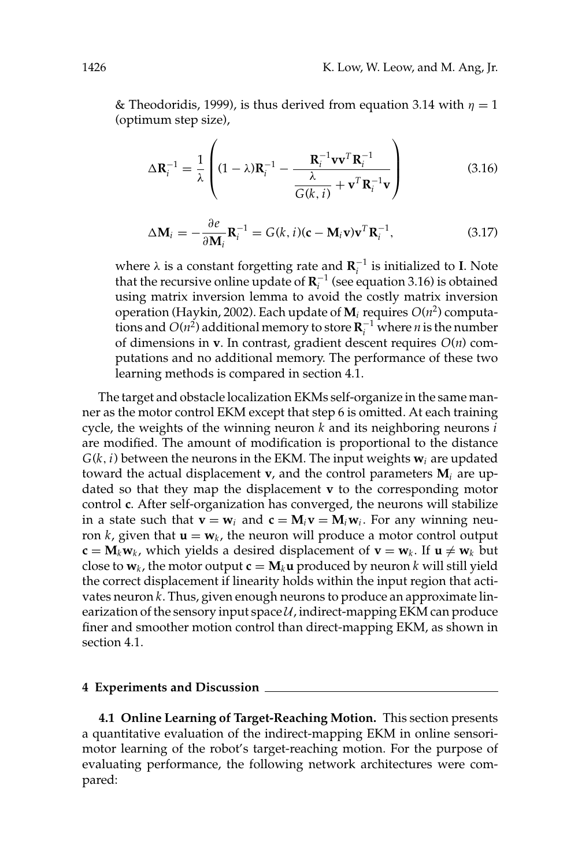& Theodoridis, 1999), is thus derived from equation 3.14 with  $\eta = 1$ (optimum step size),

$$
\Delta \mathbf{R}_{i}^{-1} = \frac{1}{\lambda} \left( (1 - \lambda) \mathbf{R}_{i}^{-1} - \frac{\mathbf{R}_{i}^{-1} \mathbf{v} \mathbf{v}^{T} \mathbf{R}_{i}^{-1}}{\frac{\lambda}{G(k, i)} + \mathbf{v}^{T} \mathbf{R}_{i}^{-1} \mathbf{v}} \right)
$$
(3.16)

$$
\Delta \mathbf{M}_i = -\frac{\partial e}{\partial \mathbf{M}_i} \mathbf{R}_i^{-1} = G(k, i)(\mathbf{c} - \mathbf{M}_i \mathbf{v}) \mathbf{v}^T \mathbf{R}_i^{-1},
$$
(3.17)

where  $\lambda$  is a constant forgetting rate and  $\mathbf{R}_i^{-1}$  is initialized to I. Note that the recursive online update of  $R_i^{-1}$  (see equation 3.16) is obtained using matrix inversion lemma to avoid the costly matrix inversion operation (Haykin, 2002). Each update of  $M_i$  requires  $O(n^2)$  computations and  $O(n^2)$  additional memory to store  $\mathbb{R}^{-1}$  where *n* is the number of dimensions in **v**. In contrast, gradient descent requires  $O(n)$  computations and no additional memory. The performance of these two learning methods is compared in section 4.1.

The target and obstacle localization EKMs self-organize in the same manner as the motor control EKM except that step 6 is omitted. At each training cycle, the weights of the winning neuron  $k$  and its neighboring neurons  $\vec{i}$ are modified. The amount of modification is proportional to the distance  $G(k, i)$  between the neurons in the EKM. The input weights  $w_i$  are updated toward the actual displacement  $v$ , and the control parameters  $M_i$  are updated so that they map the displacement v to the corresponding motor control c. After self-organization has converged, the neurons will stabilize in a state such that  $\mathbf{v} = \mathbf{w}_i$  and  $\mathbf{c} = \mathbf{M}_i \mathbf{v} = \mathbf{M}_i \mathbf{w}_i$ . For any winning neuron k, given that  $\mathbf{u} = \mathbf{w}_k$ , the neuron will produce a motor control output  $\mathbf{c} = \mathbf{M}_k \mathbf{w}_k$ , which yields a desired displacement of  $\mathbf{v} = \mathbf{w}_k$ . If  $\mathbf{u} \neq \mathbf{w}_k$  but close to  $w_k$ , the motor output  $c = M_k u$  produced by neuron k will still yield the correct displacement if linearity holds within the input region that activates neuron k. Thus, given enough neurons to produce an approximate linearization of the sensory input space  $U$ , indirect-mapping EKM can produce finer and smoother motion control than direct-mapping EKM, as shown in section 4.1.

#### 4 Experiments and Discussion

4.1 Online Learning of Target-Reaching Motion. This section presents a quantitative evaluation of the indirect-mapping EKM in online sensorimotor learning of the robot's target-reaching motion. For the purpose of evaluating performance, the following network architectures were compared: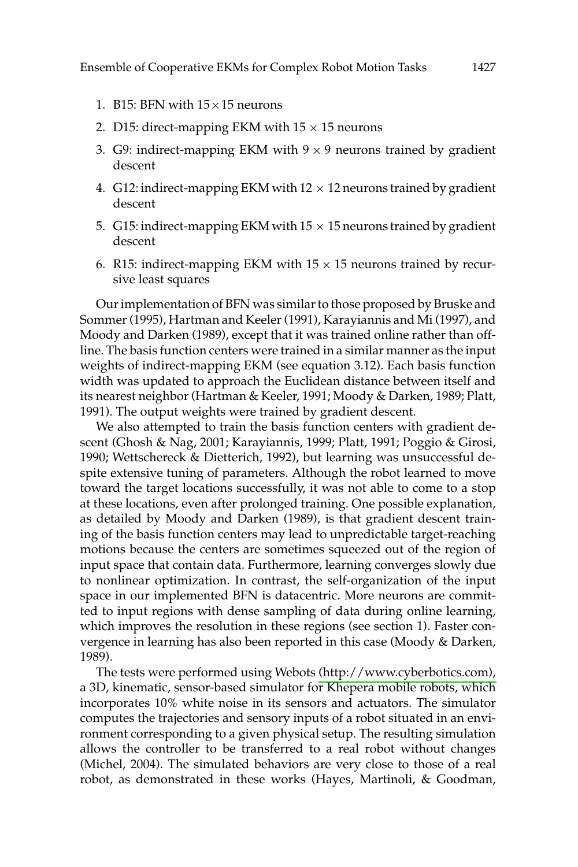- 1. B15: BFN with  $15 \times 15$  neurons
- 2. D15: direct-mapping EKM with  $15 \times 15$  neurons
- 3. G9: indirect-mapping EKM with  $9 \times 9$  neurons trained by gradient descent
- 4. G12: indirect-mapping EKM with  $12 \times 12$  neurons trained by gradient descent
- 5. G15: indirect-mapping EKM with 15  $\times$  15 neurons trained by gradient descent
- 6. R15: indirect-mapping EKM with  $15 \times 15$  neurons trained by recursive least squares

Our implementation of BFN was similar to those proposed by Bruske and Sommer (1995), Hartman and Keeler (1991), Karayiannis and Mi (1997), and Moody and Darken (1989), except that it was trained online rather than offline. The basis function centers were trained in a similar manner as the input weights of indirect-mapping EKM (see equation 3.12). Each basis function width was updated to approach the Euclidean distance between itself and its nearest neighbor (Hartman & Keeler, 1991; Moody & Darken, 1989; Platt, 1991). The output weights were trained by gradient descent.

We also attempted to train the basis function centers with gradient descent (Ghosh & Nag, 2001; Karayiannis, 1999; Platt, 1991; Poggio & Girosi, 1990; Wettschereck & Dietterich, 1992), but learning was unsuccessful despite extensive tuning of parameters. Although the robot learned to move toward the target locations successfully, it was not able to come to a stop at these locations, even after prolonged training. One possible explanation, as detailed by Moody and Darken (1989), is that gradient descent training of the basis function centers may lead to unpredictable target-reaching motions because the centers are sometimes squeezed out of the region of input space that contain data. Furthermore, learning converges slowly due to nonlinear optimization. In contrast, the self-organization of the input space in our implemented BFN is datacentric. More neurons are committed to input regions with dense sampling of data during online learning, which improves the resolution in these regions (see section 1). Faster convergence in learning has also been reported in this case (Moody & Darken, 1989).

The tests were performed using Webots (http://www.cyberbotics.com), a 3D, kinematic, sensor-based simulator for Khepera mobile robots, which incorporates 10% white noise in its sensors and actuators. The simulator computes the trajectories and sensory inputs of a robot situated in an environment corresponding to a given physical setup. The resulting simulation allows the controller to be transferred to a real robot without changes (Michel, 2004). The simulated behaviors are very close to those of a real robot, as demonstrated in these works (Hayes, Martinoli, & Goodman,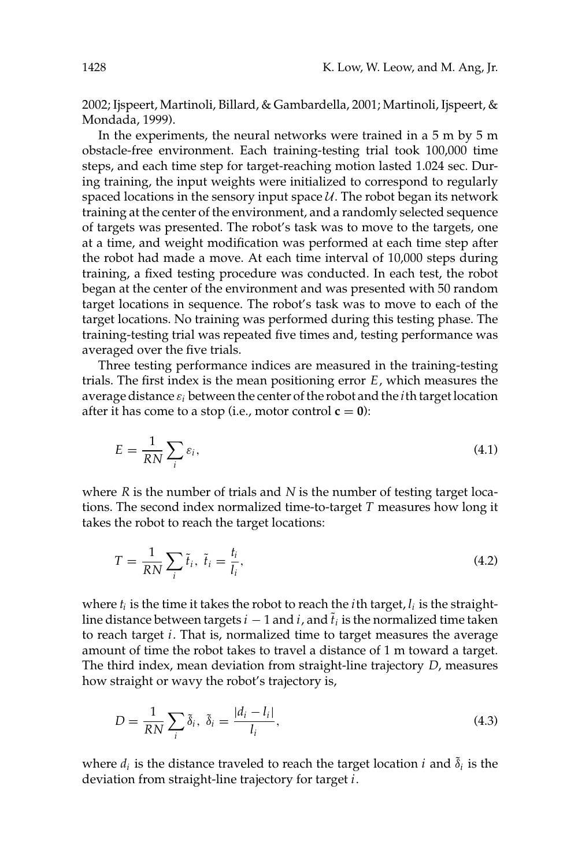2002; Ijspeert, Martinoli, Billard, & Gambardella, 2001; Martinoli, Ijspeert, & Mondada, 1999).

In the experiments, the neural networks were trained in a 5 m by 5 m obstacle-free environment. Each training-testing trial took 100,000 time steps, and each time step for target-reaching motion lasted 1.024 sec. During training, the input weights were initialized to correspond to regularly spaced locations in the sensory input space  $U$ . The robot began its network training at the center of the environment, and a randomly selected sequence of targets was presented. The robot's task was to move to the targets, one at a time, and weight modification was performed at each time step after the robot had made a move. At each time interval of 10,000 steps during training, a fixed testing procedure was conducted. In each test, the robot began at the center of the environment and was presented with 50 random target locations in sequence. The robot's task was to move to each of the target locations. No training was performed during this testing phase. The training-testing trial was repeated five times and, testing performance was averaged over the five trials.

Three testing performance indices are measured in the training-testing trials. The first index is the mean positioning error  $E$ , which measures the average distance  $\varepsilon_i$  between the center of the robot and the *i*th target location after it has come to a stop (i.e., motor control  $c = 0$ ):

$$
E = \frac{1}{RN} \sum_{i} \varepsilon_{i},\tag{4.1}
$$

where  $R$  is the number of trials and  $N$  is the number of testing target locations. The second index normalized time-to-target  $T$  measures how long it takes the robot to reach the target locations:

$$
T = \frac{1}{RN} \sum_{i} \tilde{t}_i, \ \tilde{t}_i = \frac{t_i}{l_i},\tag{4.2}
$$

where  $t_i$  is the time it takes the robot to reach the *i*th target,  $l_i$  is the straightline distance between targets  $i-1$  and  $i$ , and  $\tilde{t}_i$  is the normalized time taken to reach target  $i$ . That is, normalized time to target measures the average amount of time the robot takes to travel a distance of 1 m toward a target. The third index, mean deviation from straight-line trajectory  $D$ , measures how straight or wavy the robot's trajectory is,

$$
D = \frac{1}{RN} \sum_{i} \tilde{\delta}_{i}, \ \tilde{\delta}_{i} = \frac{|d_{i} - l_{i}|}{l_{i}}, \tag{4.3}
$$

where  $d_i$  is the distance traveled to reach the target location *i* and  $\tilde{\delta}_i$  is the deviation from straight-line trajectory for target  $i$ .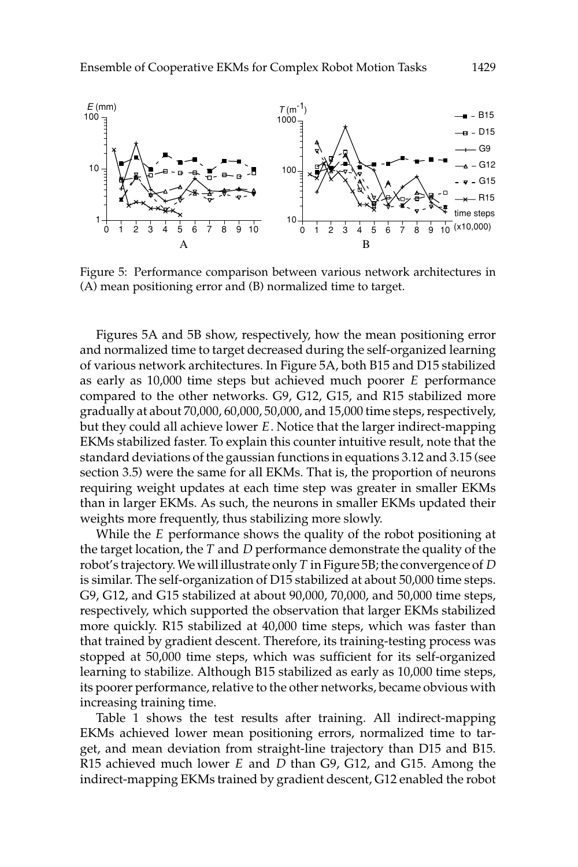

Figure 5: Performance comparison between various network architectures in (A) mean positioning error and (B) normalized time to target.

Figures 5A and 5B show, respectively, how the mean positioning error and normalized time to target decreased during the self-organized learning of various network architectures. In Figure 5A, both B15 and D15 stabilized as early as  $10,000$  time steps but achieved much poorer  $E$  performance compared to the other networks. G9, G12, G15, and R15 stabilized more gradually at about 70,000, 60,000, 50,000, and 15,000 time steps, respectively, but they could all achieve lower E. Notice that the larger indirect-mapping EKMs stabilized faster. To explain this counter intuitive result, note that the standard deviations of the gaussian functions in equations 3.12 and 3.15 (see section 3.5) were the same for all EKMs. That is, the proportion of neurons requiring weight updates at each time step was greater in smaller EKMs than in larger EKMs. As such, the neurons in smaller EKMs updated their weights more frequently, thus stabilizing more slowly.

While the E performance shows the quality of the robot positioning at the target location, the  $T$  and  $D$  performance demonstrate the quality of the robot's trajectory. We will illustrate only  $T$  in Figure 5B; the convergence of  $D$ is similar. The self-organization of D15 stabilized at about 50,000 time steps. G9, G12, and G15 stabilized at about 90,000, 70,000, and 50,000 time steps, respectively, which supported the observation that larger EKMs stabilized more quickly. R15 stabilized at 40,000 time steps, which was faster than that trained by gradient descent. Therefore, its training-testing process was stopped at 50,000 time steps, which was sufficient for its self-organized learning to stabilize. Although B15 stabilized as early as 10,000 time steps, its poorer performance, relative to the other networks, became obvious with increasing training time.

Table 1 shows the test results after training. All indirect-mapping EKMs achieved lower mean positioning errors, normalized time to target, and mean deviation from straight-line trajectory than D15 and B15. R15 achieved much lower  $E$  and  $D$  than G9, G12, and G15. Among the indirect-mapping EKMs trained by gradient descent, G12 enabled the robot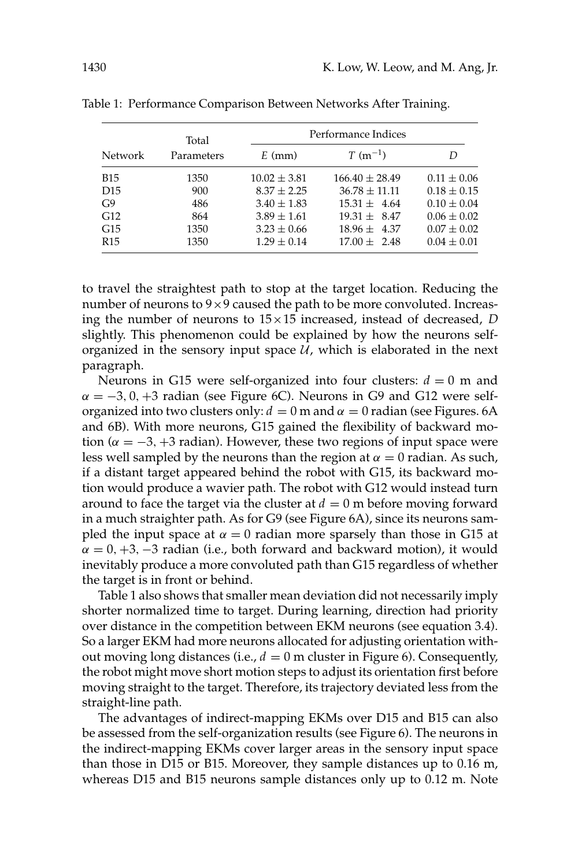|                 | Total<br>Parameters | Performance Indices |                    |                 |  |
|-----------------|---------------------|---------------------|--------------------|-----------------|--|
| <b>Network</b>  |                     | $E$ (mm)            | $T (m^{-1})$       | D               |  |
| <b>B</b> 15     | 1350                | $10.02 \pm 3.81$    | $166.40 \pm 28.49$ | $0.11 \pm 0.06$ |  |
| D <sub>15</sub> | 900                 | $8.37 + 2.25$       | $36.78 \pm 11.11$  | $0.18 \pm 0.15$ |  |
| G <sub>9</sub>  | 486                 | $3.40 \pm 1.83$     | $15.31 + 4.64$     | $0.10 \pm 0.04$ |  |
| G12             | 864                 | $3.89 \pm 1.61$     | $19.31 \pm 8.47$   | $0.06 \pm 0.02$ |  |
| G15             | 1350                | $3.23 \pm 0.66$     | $18.96 \pm 4.37$   | $0.07 \pm 0.02$ |  |
| R <sub>15</sub> | 1350                | $1.29 \pm 0.14$     | $17.00 \pm 2.48$   | $0.04 \pm 0.01$ |  |

Table 1: Performance Comparison Between Networks After Training.

to travel the straightest path to stop at the target location. Reducing the number of neurons to 9×9 caused the path to be more convoluted. Increasing the number of neurons to  $15 \times 15$  increased, instead of decreased, D slightly. This phenomenon could be explained by how the neurons selforganized in the sensory input space  $\hat{U}$ , which is elaborated in the next paragraph.

Neurons in G15 were self-organized into four clusters:  $d = 0$  m and  $\alpha = -3, 0, +3$  radian (see Figure 6C). Neurons in G9 and G12 were selforganized into two clusters only:  $d = 0$  m and  $\alpha = 0$  radian (see Figures. 6A and 6B). With more neurons, G15 gained the flexibility of backward motion ( $\alpha = -3, +3$  radian). However, these two regions of input space were less well sampled by the neurons than the region at  $\alpha = 0$  radian. As such, if a distant target appeared behind the robot with G15, its backward motion would produce a wavier path. The robot with G12 would instead turn around to face the target via the cluster at  $d = 0$  m before moving forward in a much straighter path. As for G9 (see Figure 6A), since its neurons sampled the input space at  $\alpha = 0$  radian more sparsely than those in G15 at  $\alpha = 0, +3, -3$  radian (i.e., both forward and backward motion), it would inevitably produce a more convoluted path than G15 regardless of whether the target is in front or behind.

Table 1 also shows that smaller mean deviation did not necessarily imply shorter normalized time to target. During learning, direction had priority over distance in the competition between EKM neurons (see equation 3.4). So a larger EKM had more neurons allocated for adjusting orientation without moving long distances (i.e.,  $d = 0$  m cluster in Figure 6). Consequently, the robot might move short motion steps to adjust its orientation first before moving straight to the target. Therefore, its trajectory deviated less from the straight-line path.

The advantages of indirect-mapping EKMs over D15 and B15 can also be assessed from the self-organization results (see Figure 6). The neurons in the indirect-mapping EKMs cover larger areas in the sensory input space than those in D15 or B15. Moreover, they sample distances up to 0.16 m, whereas D15 and B15 neurons sample distances only up to  $0.12$  m. Note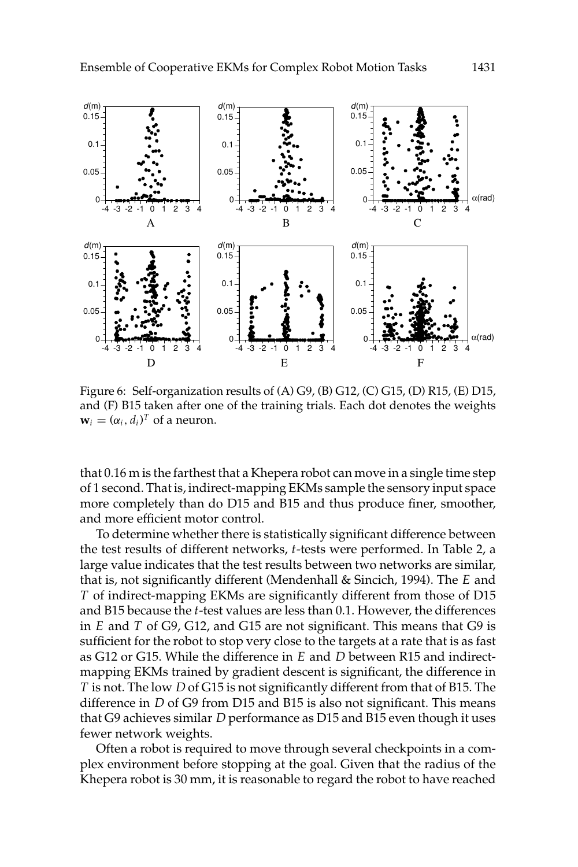

Figure 6: Self-organization results of (A) G9, (B) G12, (C) G15, (D) R15, (E) D15, and (F) B15 taken after one of the training trials. Each dot denotes the weights  $\mathbf{w}_i = (\alpha_i, d_i)^T$  of a neuron.

that 0.16 m is the farthest that a Khepera robot can move in a single time step of 1 second. That is, indirect-mapping EKMs sample the sensory input space more completely than do D15 and B15 and thus produce finer, smoother, and more efficient motor control.

To determine whether there is statistically significant difference between the test results of different networks, t-tests were performed. In Table 2, a large value indicates that the test results between two networks are similar, that is, not significantly different (Mendenhall & Sincich, 1994). The E and T of indirect-mapping EKMs are significantly different from those of D15 and B15 because the t-test values are less than 0.1. However, the differences in  $E$  and  $T$  of G9, G12, and G15 are not significant. This means that G9 is sufficient for the robot to stop very close to the targets at a rate that is as fast as G12 or G15. While the difference in E and D between R15 and indirectmapping EKMs trained by gradient descent is significant, the difference in T is not. The low D of G15 is not significantly different from that of B15. The difference in D of G9 from D15 and B15 is also not significant. This means that G9 achieves similar D performance as D15 and B15 even though it uses fewer network weights.

Often a robot is required to move through several checkpoints in a complex environment before stopping at the goal. Given that the radius of the Khepera robot is 30 mm, it is reasonable to regard the robot to have reached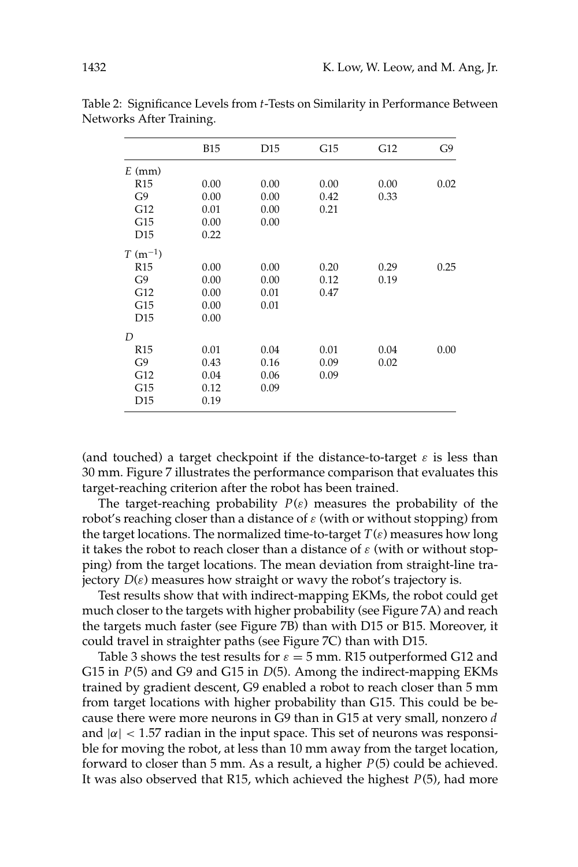|                 | <b>B15</b> | D <sub>15</sub> | G15  | G12  | G9   |
|-----------------|------------|-----------------|------|------|------|
| $E$ (mm)        |            |                 |      |      |      |
| R <sub>15</sub> | 0.00       | 0.00            | 0.00 | 0.00 | 0.02 |
| G9              | 0.00       | 0.00            | 0.42 | 0.33 |      |
| G12             | 0.01       | 0.00            | 0.21 |      |      |
| G15             | 0.00       | 0.00            |      |      |      |
| D <sub>15</sub> | 0.22       |                 |      |      |      |
| $T (m^{-1})$    |            |                 |      |      |      |
| R <sub>15</sub> | 0.00       | 0.00            | 0.20 | 0.29 | 0.25 |
| G9              | 0.00       | 0.00            | 0.12 | 0.19 |      |
| G12             | 0.00       | 0.01            | 0.47 |      |      |
| G15             | 0.00       | 0.01            |      |      |      |
| D15             | 0.00       |                 |      |      |      |
| D               |            |                 |      |      |      |
| R <sub>15</sub> | 0.01       | 0.04            | 0.01 | 0.04 | 0.00 |
| G9              | 0.43       | 0.16            | 0.09 | 0.02 |      |
| G12             | 0.04       | 0.06            | 0.09 |      |      |
| G15             | 0.12       | 0.09            |      |      |      |
| D <sub>15</sub> | 0.19       |                 |      |      |      |

Table 2: Significance Levels from t-Tests on Similarity in Performance Between Networks After Training.

(and touched) a target checkpoint if the distance-to-target  $\varepsilon$  is less than 30 mm. Figure 7 illustrates the performance comparison that evaluates this target-reaching criterion after the robot has been trained.

The target-reaching probability  $P(\varepsilon)$  measures the probability of the robot's reaching closer than a distance of  $\varepsilon$  (with or without stopping) from the target locations. The normalized time-to-target  $T(\varepsilon)$  measures how long it takes the robot to reach closer than a distance of  $\varepsilon$  (with or without stopping) from the target locations. The mean deviation from straight-line trajectory  $D(\varepsilon)$  measures how straight or wavy the robot's trajectory is.

Test results show that with indirect-mapping EKMs, the robot could get much closer to the targets with higher probability (see Figure 7A) and reach the targets much faster (see Figure 7B) than with D15 or B15. Moreover, it could travel in straighter paths (see Figure 7C) than with D15.

Table 3 shows the test results for  $\varepsilon = 5$  mm. R15 outperformed G12 and G15 in  $P(5)$  and G9 and G15 in  $D(5)$ . Among the indirect-mapping EKMs trained by gradient descent, G9 enabled a robot to reach closer than 5 mm from target locations with higher probability than G15. This could be because there were more neurons in G9 than in G15 at very small, nonzero d and  $|\alpha|$  < 1.57 radian in the input space. This set of neurons was responsible for moving the robot, at less than 10 mm away from the target location, forward to closer than 5 mm. As a result, a higher  $P(5)$  could be achieved. It was also observed that R15, which achieved the highest  $P(5)$ , had more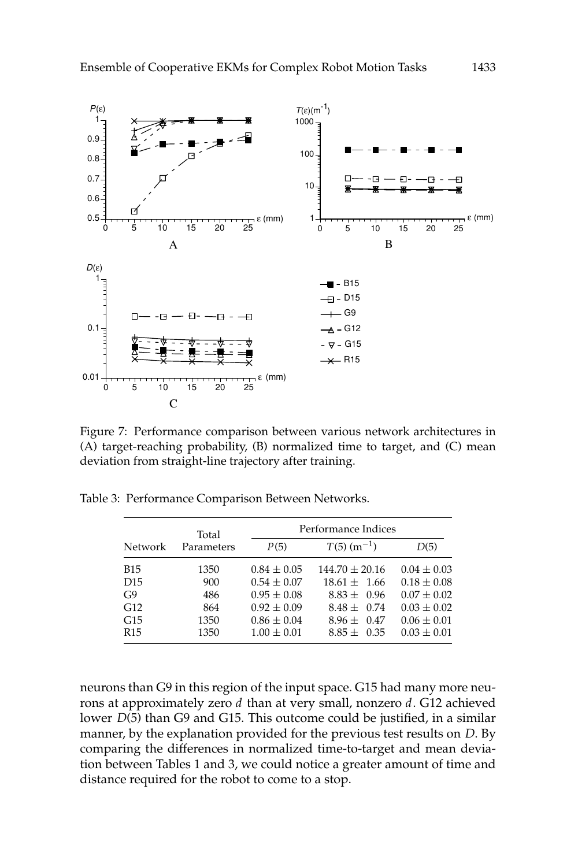

Figure 7: Performance comparison between various network architectures in (A) target-reaching probability, (B) normalized time to target, and (C) mean deviation from straight-line trajectory after training.

|                 | Total<br>Parameters | Performance Indices |                           |                 |  |
|-----------------|---------------------|---------------------|---------------------------|-----------------|--|
| Network         |                     | P(5)                | $T(5)$ (m <sup>-1</sup> ) | D(5)            |  |
| <b>B15</b>      | 1350                | $0.84 \pm 0.05$     | $144.70 \pm 20.16$        | $0.04 \pm 0.03$ |  |
| D <sub>15</sub> | 900                 | $0.54 \pm 0.07$     | $18.61 + 1.66$            | $0.18 \pm 0.08$ |  |
| G9              | 486                 | $0.95 \pm 0.08$     | $8.83 + 0.96$             | $0.07 \pm 0.02$ |  |
| G12             | 864                 | $0.92 \pm 0.09$     | $8.48 \pm 0.74$           | $0.03 \pm 0.02$ |  |
| G15             | 1350                | $0.86 \pm 0.04$     | $8.96 \pm 0.47$           | $0.06 \pm 0.01$ |  |
| R <sub>15</sub> | 1350                | $1.00 \pm 0.01$     | $8.85 \pm 0.35$           | $0.03 \pm 0.01$ |  |

Table 3: Performance Comparison Between Networks.

neurons than G9 in this region of the input space. G15 had many more neurons at approximately zero d than at very small, nonzero d. G12 achieved lower  $D(5)$  than G9 and G15. This outcome could be justified, in a similar manner, by the explanation provided for the previous test results on D. By comparing the differences in normalized time-to-target and mean deviation between Tables 1 and 3, we could notice a greater amount of time and distance required for the robot to come to a stop.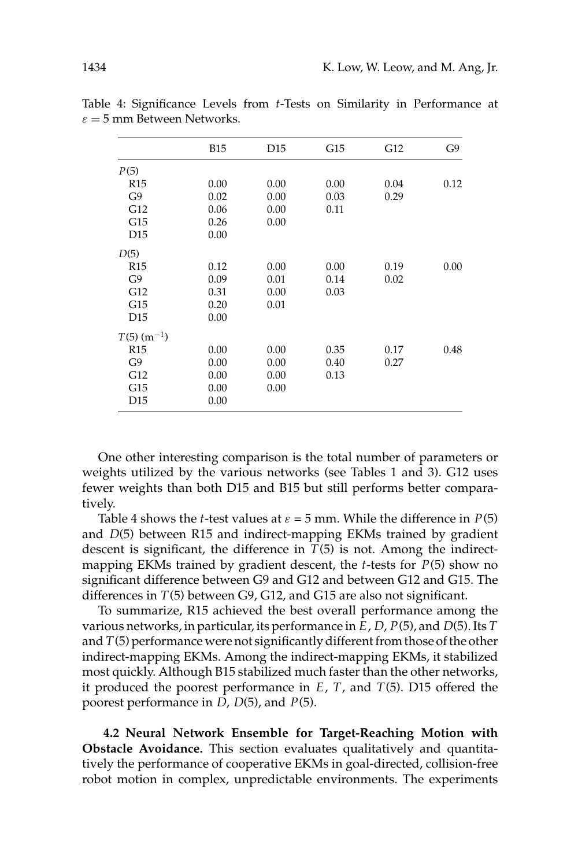|                           | <b>B15</b> | D <sub>15</sub> | G15  | G12  | G9   |
|---------------------------|------------|-----------------|------|------|------|
| P(5)                      |            |                 |      |      |      |
| R15                       | 0.00       | 0.00            | 0.00 | 0.04 | 0.12 |
| G9                        | 0.02       | 0.00            | 0.03 | 0.29 |      |
| G12                       | 0.06       | 0.00            | 0.11 |      |      |
| G15                       | 0.26       | 0.00            |      |      |      |
| D <sub>15</sub>           | 0.00       |                 |      |      |      |
| D(5)                      |            |                 |      |      |      |
| R15                       | 0.12       | 0.00            | 0.00 | 0.19 | 0.00 |
| G9                        | 0.09       | 0.01            | 0.14 | 0.02 |      |
| G12                       | 0.31       | 0.00            | 0.03 |      |      |
| G15                       | 0.20       | 0.01            |      |      |      |
| D15                       | 0.00       |                 |      |      |      |
| $T(5)$ (m <sup>-1</sup> ) |            |                 |      |      |      |
| R15                       | 0.00       | 0.00            | 0.35 | 0.17 | 0.48 |
| G9                        | 0.00       | 0.00            | 0.40 | 0.27 |      |
| G12                       | 0.00       | 0.00            | 0.13 |      |      |
| G15                       | 0.00       | 0.00            |      |      |      |
| D15                       | 0.00       |                 |      |      |      |
|                           |            |                 |      |      |      |

Table 4: Significance Levels from t-Tests on Similarity in Performance at  $\varepsilon = 5$  mm Between Networks.

One other interesting comparison is the total number of parameters or weights utilized by the various networks (see Tables 1 and 3). G12 uses fewer weights than both D15 and B15 but still performs better comparatively.

Table 4 shows the *t*-test values at  $\varepsilon = 5$  mm. While the difference in  $P(5)$ and  $D(5)$  between R15 and indirect-mapping EKMs trained by gradient descent is significant, the difference in  $T(5)$  is not. Among the indirectmapping EKMs trained by gradient descent, the *t*-tests for  $P(5)$  show no significant difference between G9 and G12 and between G12 and G15. The differences in  $T(5)$  between G9, G12, and G15 are also not significant.

To summarize, R15 achieved the best overall performance among the various networks, in particular, its performance in  $E$ ,  $D$ ,  $P(5)$ , and  $D(5)$ . Its  $T$ and  $T(5)$  performance were not significantly different from those of the other indirect-mapping EKMs. Among the indirect-mapping EKMs, it stabilized most quickly. Although B15 stabilized much faster than the other networks, it produced the poorest performance in  $E$ ,  $T$ , and  $T(5)$ . D15 offered the poorest performance in  $D$ ,  $D(5)$ , and  $P(5)$ .

4.2 Neural Network Ensemble for Target-Reaching Motion with Obstacle Avoidance. This section evaluates qualitatively and quantitatively the performance of cooperative EKMs in goal-directed, collision-free robot motion in complex, unpredictable environments. The experiments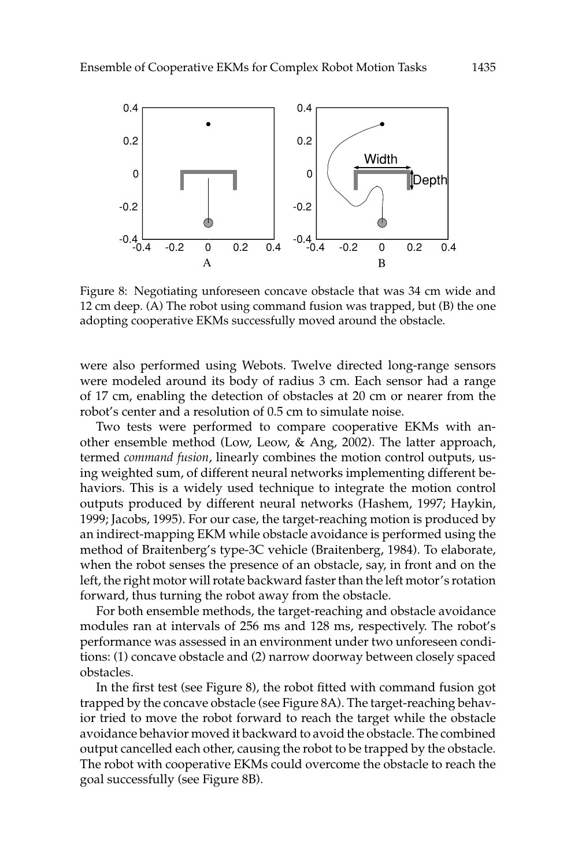

Figure 8: Negotiating unforeseen concave obstacle that was 34 cm wide and 12 cm deep. (A) The robot using command fusion was trapped, but (B) the one adopting cooperative EKMs successfully moved around the obstacle.

were also performed using Webots. Twelve directed long-range sensors were modeled around its body of radius 3 cm. Each sensor had a range of 17 cm, enabling the detection of obstacles at 20 cm or nearer from the robot's center and a resolution of 0.5 cm to simulate noise.

Two tests were performed to compare cooperative EKMs with another ensemble method (Low, Leow, & Ang, 2002). The latter approach, termed command fusion, linearly combines the motion control outputs, using weighted sum, of different neural networks implementing different behaviors. This is a widely used technique to integrate the motion control outputs produced by different neural networks (Hashem, 1997; Haykin, 1999; Jacobs, 1995). For our case, the target-reaching motion is produced by an indirect-mapping EKM while obstacle avoidance is performed using the method of Braitenberg's type-3C vehicle (Braitenberg, 1984). To elaborate, when the robot senses the presence of an obstacle, say, in front and on the left, the right motor will rotate backward faster than the left motor's rotation forward, thus turning the robot away from the obstacle.

For both ensemble methods, the target-reaching and obstacle avoidance modules ran at intervals of 256 ms and 128 ms, respectively. The robot's performance was assessed in an environment under two unforeseen conditions: (1) concave obstacle and (2) narrow doorway between closely spaced obstacles.

In the first test (see Figure 8), the robot fitted with command fusion got trapped by the concave obstacle (see Figure 8A). The target-reaching behavior tried to move the robot forward to reach the target while the obstacle avoidance behavior moved it backward to avoid the obstacle. The combined output cancelled each other, causing the robot to be trapped by the obstacle. The robot with cooperative EKMs could overcome the obstacle to reach the goal successfully (see Figure 8B).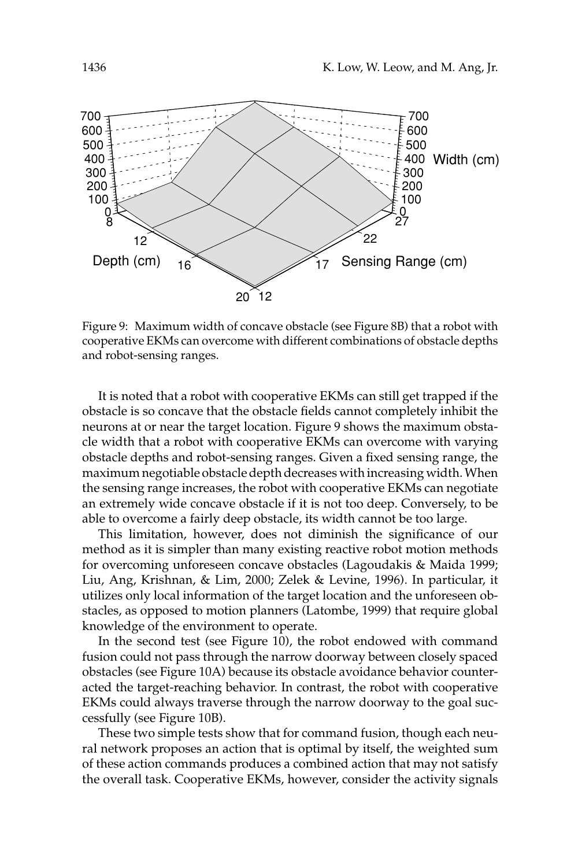

Figure 9: Maximum width of concave obstacle (see Figure 8B) that a robot with cooperative EKMs can overcome with different combinations of obstacle depths and robot-sensing ranges.

It is noted that a robot with cooperative EKMs can still get trapped if the obstacle is so concave that the obstacle fields cannot completely inhibit the neurons at or near the target location. Figure 9 shows the maximum obstacle width that a robot with cooperative EKMs can overcome with varying obstacle depths and robot-sensing ranges. Given a fixed sensing range, the maximum negotiable obstacle depth decreases with increasing width. When the sensing range increases, the robot with cooperative EKMs can negotiate an extremely wide concave obstacle if it is not too deep. Conversely, to be able to overcome a fairly deep obstacle, its width cannot be too large.

This limitation, however, does not diminish the significance of our method as it is simpler than many existing reactive robot motion methods for overcoming unforeseen concave obstacles (Lagoudakis & Maida 1999; Liu, Ang, Krishnan, & Lim, 2000; Zelek & Levine, 1996). In particular, it utilizes only local information of the target location and the unforeseen obstacles, as opposed to motion planners (Latombe, 1999) that require global knowledge of the environment to operate.

In the second test (see Figure 10), the robot endowed with command fusion could not pass through the narrow doorway between closely spaced obstacles (see Figure 10A) because its obstacle avoidance behavior counteracted the target-reaching behavior. In contrast, the robot with cooperative EKMs could always traverse through the narrow doorway to the goal successfully (see Figure 10B).

These two simple tests show that for command fusion, though each neural network proposes an action that is optimal by itself, the weighted sum of these action commands produces a combined action that may not satisfy the overall task. Cooperative EKMs, however, consider the activity signals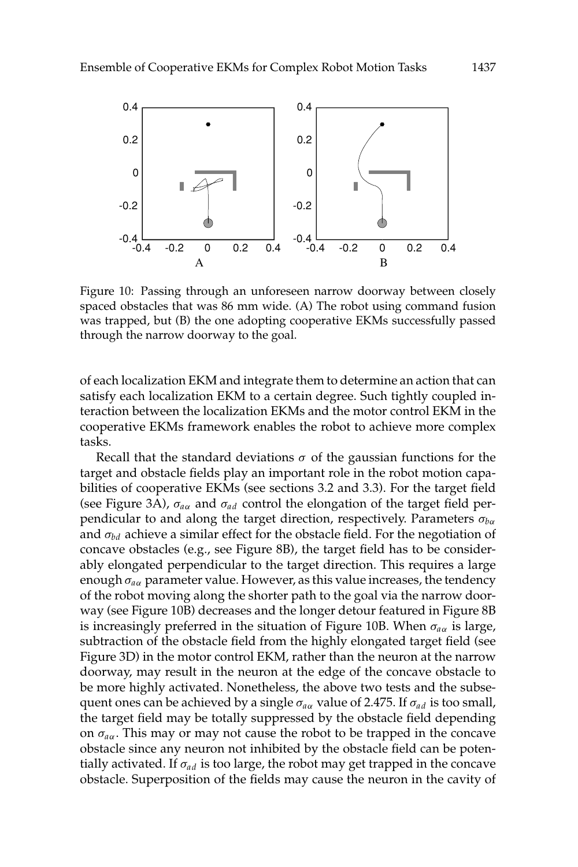

Figure 10: Passing through an unforeseen narrow doorway between closely spaced obstacles that was 86 mm wide. (A) The robot using command fusion was trapped, but (B) the one adopting cooperative EKMs successfully passed through the narrow doorway to the goal.

of each localization EKM and integrate them to determine an action that can satisfy each localization EKM to a certain degree. Such tightly coupled interaction between the localization EKMs and the motor control EKM in the cooperative EKMs framework enables the robot to achieve more complex tasks.

Recall that the standard deviations  $\sigma$  of the gaussian functions for the target and obstacle fields play an important role in the robot motion capabilities of cooperative EKMs (see sections 3.2 and 3.3). For the target field (see Figure 3A),  $\sigma_{a\alpha}$  and  $\sigma_{a d}$  control the elongation of the target field perpendicular to and along the target direction, respectively. Parameters  $\sigma_{b\alpha}$ and  $\sigma_{bd}$  achieve a similar effect for the obstacle field. For the negotiation of concave obstacles (e.g., see Figure 8B), the target field has to be considerably elongated perpendicular to the target direction. This requires a large enough  $\sigma_{a\alpha}$  parameter value. However, as this value increases, the tendency of the robot moving along the shorter path to the goal via the narrow doorway (see Figure 10B) decreases and the longer detour featured in Figure 8B is increasingly preferred in the situation of Figure 10B. When  $\sigma_{a\alpha}$  is large, subtraction of the obstacle field from the highly elongated target field (see Figure 3D) in the motor control EKM, rather than the neuron at the narrow doorway, may result in the neuron at the edge of the concave obstacle to be more highly activated. Nonetheless, the above two tests and the subsequent ones can be achieved by a single  $\sigma_{a\alpha}$  value of 2.475. If  $\sigma_{ad}$  is too small, the target field may be totally suppressed by the obstacle field depending on  $\sigma_{a\alpha}$ . This may or may not cause the robot to be trapped in the concave obstacle since any neuron not inhibited by the obstacle field can be potentially activated. If  $\sigma_{ad}$  is too large, the robot may get trapped in the concave obstacle. Superposition of the fields may cause the neuron in the cavity of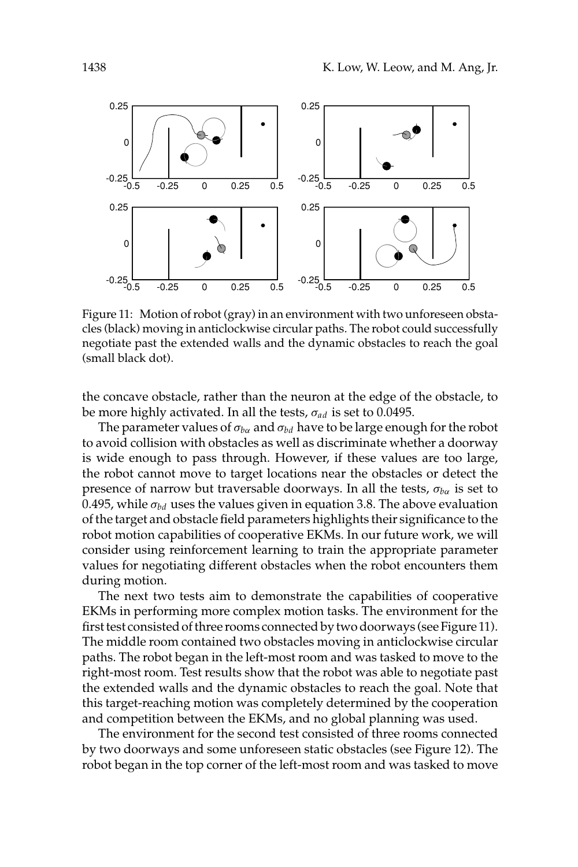

Figure 11: Motion of robot (gray) in an environment with two unforeseen obstacles (black) moving in anticlockwise circular paths. The robot could successfully negotiate past the extended walls and the dynamic obstacles to reach the goal (small black dot).

the concave obstacle, rather than the neuron at the edge of the obstacle, to be more highly activated. In all the tests,  $\sigma_{ad}$  is set to 0.0495.

The parameter values of  $\sigma_{ba}$  and  $\sigma_{bd}$  have to be large enough for the robot to avoid collision with obstacles as well as discriminate whether a doorway is wide enough to pass through. However, if these values are too large, the robot cannot move to target locations near the obstacles or detect the presence of narrow but traversable doorways. In all the tests,  $\sigma_{b\alpha}$  is set to 0.495, while  $\sigma_{bd}$  uses the values given in equation 3.8. The above evaluation of the target and obstacle field parameters highlights their significance to the robot motion capabilities of cooperative EKMs. In our future work, we will consider using reinforcement learning to train the appropriate parameter values for negotiating different obstacles when the robot encounters them during motion.

The next two tests aim to demonstrate the capabilities of cooperative EKMs in performing more complex motion tasks. The environment for the first test consisted of three rooms connected by two doorways (see Figure 11). The middle room contained two obstacles moving in anticlockwise circular paths. The robot began in the left-most room and was tasked to move to the right-most room. Test results show that the robot was able to negotiate past the extended walls and the dynamic obstacles to reach the goal. Note that this target-reaching motion was completely determined by the cooperation and competition between the EKMs, and no global planning was used.

The environment for the second test consisted of three rooms connected by two doorways and some unforeseen static obstacles (see Figure 12). The robot began in the top corner of the left-most room and was tasked to move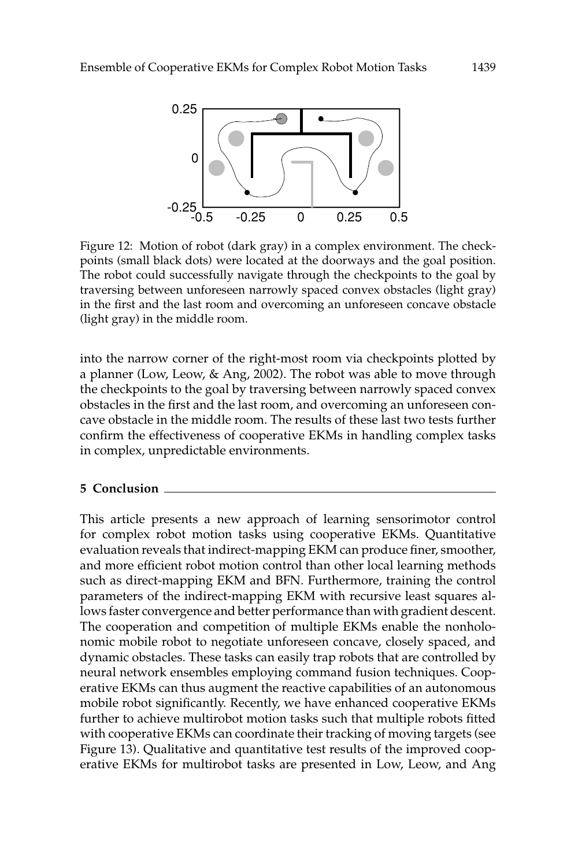

Figure 12: Motion of robot (dark gray) in a complex environment. The checkpoints (small black dots) were located at the doorways and the goal position. The robot could successfully navigate through the checkpoints to the goal by traversing between unforeseen narrowly spaced convex obstacles (light gray) in the first and the last room and overcoming an unforeseen concave obstacle (light gray) in the middle room.

into the narrow corner of the right-most room via checkpoints plotted by a planner (Low, Leow, & Ang, 2002). The robot was able to move through the checkpoints to the goal by traversing between narrowly spaced convex obstacles in the first and the last room, and overcoming an unforeseen concave obstacle in the middle room. The results of these last two tests further confirm the effectiveness of cooperative EKMs in handling complex tasks in complex, unpredictable environments.

### 5 Conclusion

This article presents a new approach of learning sensorimotor control for complex robot motion tasks using cooperative EKMs. Quantitative evaluation reveals that indirect-mapping EKM can produce finer, smoother, and more efficient robot motion control than other local learning methods such as direct-mapping EKM and BFN. Furthermore, training the control parameters of the indirect-mapping EKM with recursive least squares allows faster convergence and better performance than with gradient descent. The cooperation and competition of multiple EKMs enable the nonholonomic mobile robot to negotiate unforeseen concave, closely spaced, and dynamic obstacles. These tasks can easily trap robots that are controlled by neural network ensembles employing command fusion techniques. Cooperative EKMs can thus augment the reactive capabilities of an autonomous mobile robot significantly. Recently, we have enhanced cooperative EKMs further to achieve multirobot motion tasks such that multiple robots fitted with cooperative EKMs can coordinate their tracking of moving targets (see Figure 13). Qualitative and quantitative test results of the improved cooperative EKMs for multirobot tasks are presented in Low, Leow, and Ang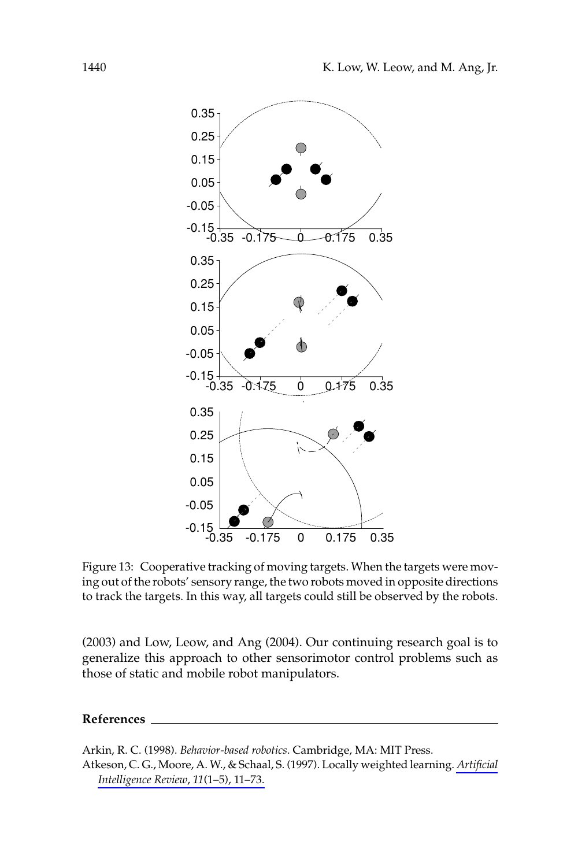

Figure 13: Cooperative tracking of moving targets. When the targets were moving out of the robots' sensory range, the two robots moved in opposite directions to track the targets. In this way, all targets could still be observed by the robots.

(2003) and Low, Leow, and Ang (2004). Our continuing research goal is to generalize this approach to other sensorimotor control problems such as those of static and mobile robot manipulators.

### References

Arkin, R. C. (1998). Behavior-based robotics. Cambridge, MA: MIT Press. Atkeson, C. G., Moore, A. W., & Schaal, S. (1997). Locally weighted learning. Artificial Intelligence Review, 11(1-5), 11-73.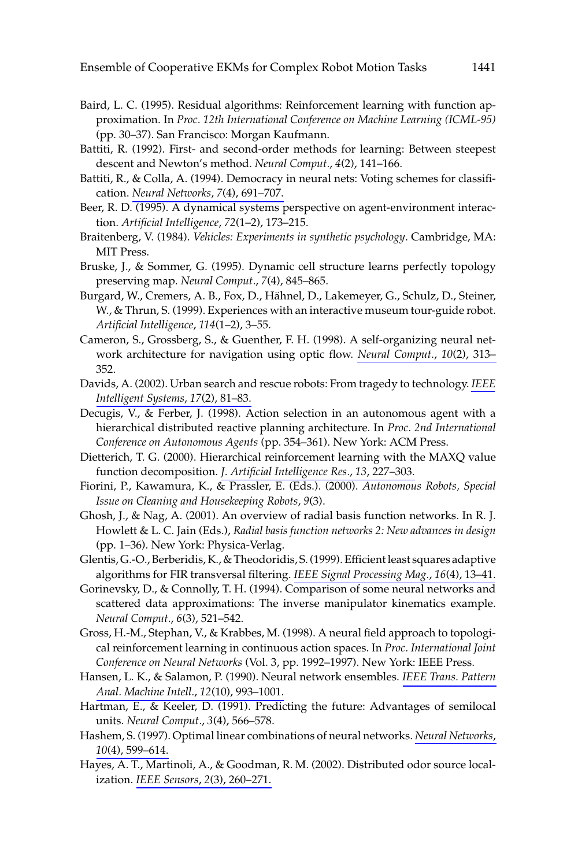- Baird, L. C. (1995). Residual algorithms: Reinforcement learning with function approximation. In Proc. 12th International Conference on Machine Learning (ICML-95) (pp. 30-37). San Francisco: Morgan Kaufmann.
- Battiti, R. (1992). First- and second-order methods for learning: Between steepest descent and Newton's method. Neural Comput., 4(2), 141-166.
- Battiti, R., & Colla, A. (1994). Democracy in neural nets: Voting schemes for classification. Neural Networks, 7(4), 691-707.
- Beer, R. D. (1995). A dynamical systems perspective on agent-environment interaction. Artificial Intelligence, 72(1-2), 173-215.
- Braitenberg, V. (1984). Vehicles: Experiments in synthetic psychology. Cambridge, MA: MIT Press.
- Bruske, J., & Sommer, G. (1995). Dynamic cell structure learns perfectly topology preserving map. Neural Comput., 7(4), 845-865.
- Burgard, W., Cremers, A. B., Fox, D., Hähnel, D., Lakemeyer, G., Schulz, D., Steiner, W., & Thrun, S. (1999). Experiences with an interactive museum tour-guide robot. Artificial Intelligence, 114(1-2), 3-55.
- Cameron, S., Grossberg, S., & Guenther, F. H. (1998). A self-organizing neural network architecture for navigation using optic flow. Neural Comput., 10(2), 313-352.
- Davids, A. (2002). Urban search and rescue robots: From tragedy to technology. IEEE Intelligent Systems, 17(2), 81-83.
- Decugis, V., & Ferber, J. (1998). Action selection in an autonomous agent with a hierarchical distributed reactive planning architecture. In Proc. 2nd International Conference on Autonomous Agents (pp. 354-361). New York: ACM Press.
- Dietterich, T. G. (2000). Hierarchical reinforcement learning with the MAXQ value function decomposition. J. Artificial Intelligence Res., 13, 227-303.
- Fiorini, P., Kawamura, K., & Prassler, E. (Eds.). (2000). Autonomous Robots, Special Issue on Cleaning and Housekeeping Robots, 9(3).
- Ghosh, J., & Nag, A. (2001). An overview of radial basis function networks. In R. J. Howlett & L. C. Jain (Eds.), Radial basis function networks 2: New advances in design (pp. 1-36). New York: Physica-Verlag.
- Glentis, G.-O., Berberidis, K., & Theodoridis, S. (1999). Efficient least squares adaptive algorithms for FIR transversal filtering. IEEE Signal Processing Mag., 16(4), 13-41.
- Gorinevsky, D., & Connolly, T. H. (1994). Comparison of some neural networks and scattered data approximations: The inverse manipulator kinematics example. Neural Comput., 6(3), 521-542.
- Gross, H.-M., Stephan, V., & Krabbes, M. (1998). A neural field approach to topological reinforcement learning in continuous action spaces. In Proc. International Joint Conference on Neural Networks (Vol. 3, pp. 1992-1997). New York: IEEE Press.
- Hansen, L. K., & Salamon, P. (1990). Neural network ensembles. IEEE Trans. Pattern Anal. Machine Intell., 12(10), 993-1001.
- Hartman, E., & Keeler, D. (1991). Predicting the future: Advantages of semilocal units. Neural Comput., 3(4), 566-578.
- Hashem, S. (1997). Optimal linear combinations of neural networks. Neural Networks, 10(4), 599-614.
- Hayes, A. T., Martinoli, A., & Goodman, R. M. (2002). Distributed odor source localization. IEEE Sensors, 2(3), 260-271.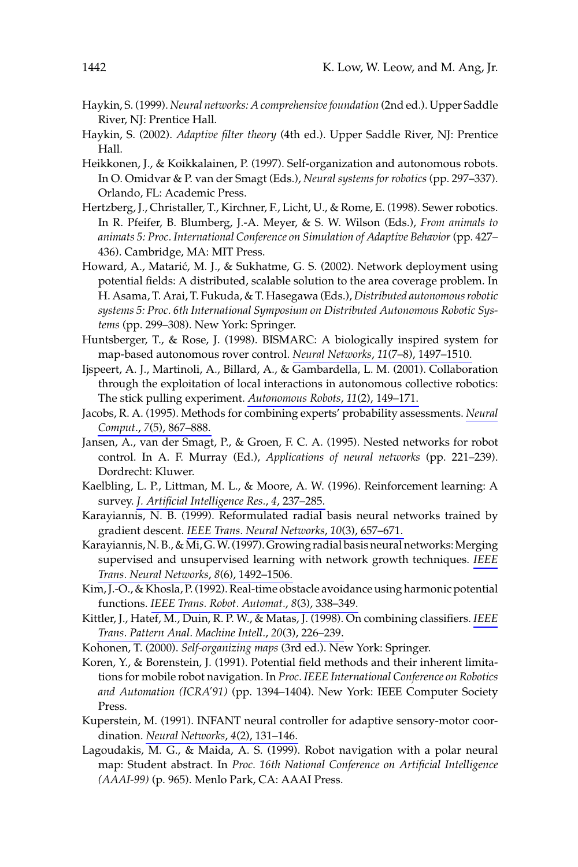- Haykin, S. (1999). Neural networks: A comprehensive foundation (2nd ed.). Upper Saddle River, NJ: Prentice Hall.
- Haykin, S. (2002). Adaptive filter theory (4th ed.). Upper Saddle River, NJ: Prentice Hall.
- Heikkonen, J., & Koikkalainen, P. (1997). Self-organization and autonomous robots. In O. Omidvar & P. van der Smagt (Eds.), Neural systems for robotics (pp. 297-337). Orlando, FL: Academic Press.
- Hertzberg, J., Christaller, T., Kirchner, F., Licht, U., & Rome, E. (1998). Sewer robotics. In R. Pfeifer, B. Blumberg, J.-A. Meyer, & S. W. Wilson (Eds.), From animals to animats 5: Proc. International Conference on Simulation of Adaptive Behavior (pp. 427– 436). Cambridge, MA: MIT Press.
- Howard, A., Matarić, M. J., & Sukhatme, G. S. (2002). Network deployment using potential fields: A distributed, scalable solution to the area coverage problem. In H. Asama, T. Arai, T. Fukuda, & T. Hasegawa (Eds.), Distributed autonomous robotic systems 5: Proc. 6th International Symposium on Distributed Autonomous Robotic Systems (pp. 299–308). New York: Springer.
- Huntsberger, T., & Rose, J. (1998). BISMARC: A biologically inspired system for map-based autonomous rover control. Neural Networks, 11(7-8), 1497-1510.
- Ijspeert, A. J., Martinoli, A., Billard, A., & Gambardella, L. M. (2001). Collaboration through the exploitation of local interactions in autonomous collective robotics: The stick pulling experiment. Autonomous Robots, 11(2), 149-171.
- Jacobs, R. A. (1995). Methods for combining experts' probability assessments. Neural Comput., 7(5), 867-888.
- Jansen, A., van der Smagt, P., & Groen, F. C. A. (1995). Nested networks for robot control. In A. F. Murray (Ed.), Applications of neural networks (pp. 221-239). Dordrecht: Kluwer.
- Kaelbling, L. P., Littman, M. L., & Moore, A. W. (1996). Reinforcement learning: A survey. J. Artificial Intelligence Res., 4, 237-285.
- Karayiannis, N. B. (1999). Reformulated radial basis neural networks trained by gradient descent. IEEE Trans. Neural Networks, 10(3), 657-671.
- Karayiannis, N. B., & Mi, G. W. (1997). Growing radial basis neural networks: Merging supervised and unsupervised learning with network growth techniques. IEEE Trans. Neural Networks, 8(6), 1492-1506.
- Kim, J.-O., & Khosla, P. (1992). Real-time obstacle avoidance using harmonic potential functions. IEEE Trans. Robot. Automat., 8(3), 338-349.
- Kittler, J., Hatef, M., Duin, R. P. W., & Matas, J. (1998). On combining classifiers. IEEE Trans. Pattern Anal. Machine Intell., 20(3), 226-239.
- Kohonen, T. (2000). Self-organizing maps (3rd ed.). New York: Springer.
- Koren, Y., & Borenstein, J. (1991). Potential field methods and their inherent limitations for mobile robot navigation. In Proc. IEEE International Conference on Robotics and Automation (ICRA'91) (pp. 1394-1404). New York: IEEE Computer Society Press.
- Kuperstein, M. (1991). INFANT neural controller for adaptive sensory-motor coordination. Neural Networks, 4(2), 131-146.
- Lagoudakis, M. G., & Maida, A. S. (1999). Robot navigation with a polar neural map: Student abstract. In Proc. 16th National Conference on Artificial Intelligence (AAAI-99) (p. 965). Menlo Park, CA: AAAI Press.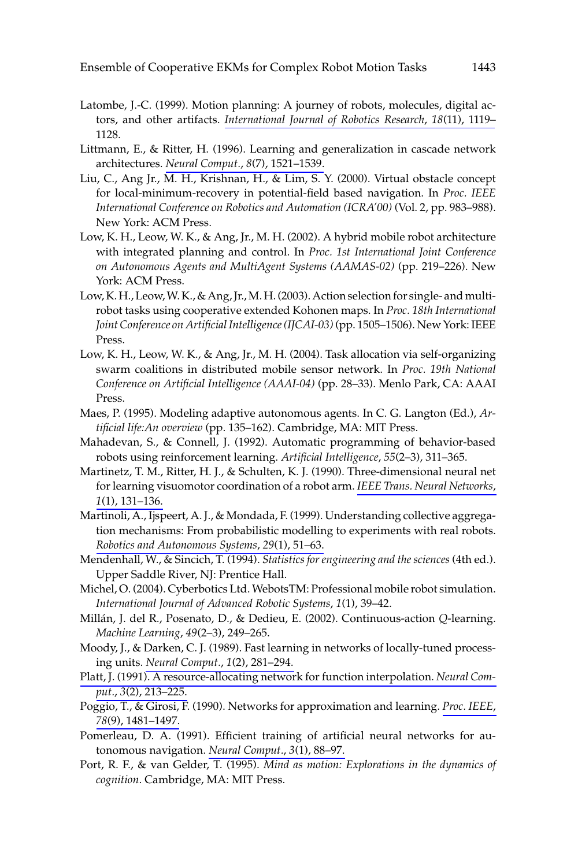- Latombe, J.-C. (1999). Motion planning: A journey of robots, molecules, digital actors, and other artifacts. International Journal of Robotics Research, 18(11), 1119– 1128.
- Littmann, E., & Ritter, H. (1996). Learning and generalization in cascade network architectures. Neural Comput., 8(7), 1521-1539.
- Liu, C., Ang Jr., M. H., Krishnan, H., & Lim, S. Y. (2000). Virtual obstacle concept for local-minimum-recovery in potential-field based navigation. In Proc. IEEE International Conference on Robotics and Automation (ICRA'00) (Vol. 2, pp. 983-988). New York: ACM Press.
- Low, K. H., Leow, W. K., & Ang, Jr., M. H. (2002). A hybrid mobile robot architecture with integrated planning and control. In Proc. 1st International Joint Conference on Autonomous Agents and MultiAgent Systems (AAMAS-02) (pp. 219–226). New York: ACM Press.
- Low, K.H., Leow, W.K., & Ang, Jr., M.H. (2003). Action selection for single- and multirobot tasks using cooperative extended Kohonen maps. In Proc. 18th International Joint Conference on Artificial Intelligence (IJCAI-03) (pp. 1505–1506). New York: IEEE Press.
- Low, K. H., Leow, W. K., & Ang, Jr., M. H. (2004). Task allocation via self-organizing swarm coalitions in distributed mobile sensor network. In Proc. 19th National Conference on Artificial Intelligence (AAAI-04) (pp. 28-33). Menlo Park, CA: AAAI Press.
- Maes, P. (1995). Modeling adaptive autonomous agents. In C. G. Langton (Ed.), Artificial life: An overview (pp. 135-162). Cambridge, MA: MIT Press.
- Mahadevan, S., & Connell, J. (1992). Automatic programming of behavior-based robots using reinforcement learning. Artificial Intelligence, 55(2-3), 311-365.
- Martinetz, T. M., Ritter, H. J., & Schulten, K. J. (1990). Three-dimensional neural net for learning visuomotor coordination of a robot arm. IEEE Trans. Neural Networks, 1(1), 131-136.
- Martinoli, A., Ijspeert, A. J., & Mondada, F. (1999). Understanding collective aggregation mechanisms: From probabilistic modelling to experiments with real robots. Robotics and Autonomous Systems, 29(1), 51-63.
- Mendenhall, W., & Sincich, T. (1994). Statistics for engineering and the sciences (4th ed.). Upper Saddle River, NJ: Prentice Hall.
- Michel, O. (2004). Cyberbotics Ltd. WebotsTM: Professional mobile robot simulation. International Journal of Advanced Robotic Systems, 1(1), 39-42.
- Millán, J. del R., Posenato, D., & Dedieu, E. (2002). Continuous-action Q-learning. Machine Learning, 49(2-3), 249-265.
- Moody, J., & Darken, C. J. (1989). Fast learning in networks of locally-tuned processing units. Neural Comput., 1(2), 281-294.
- Platt, J. (1991). A resource-allocating network for function interpolation. Neural Comput., 3(2), 213-225.
- Poggio, T., & Girosi, F. (1990). Networks for approximation and learning. Proc. IEEE, 78(9), 1481-1497.
- Pomerleau, D. A. (1991). Efficient training of artificial neural networks for autonomous navigation. Neural Comput., 3(1), 88-97.
- Port, R. F., & van Gelder, T. (1995). Mind as motion: Explorations in the dynamics of cognition. Cambridge, MA: MIT Press.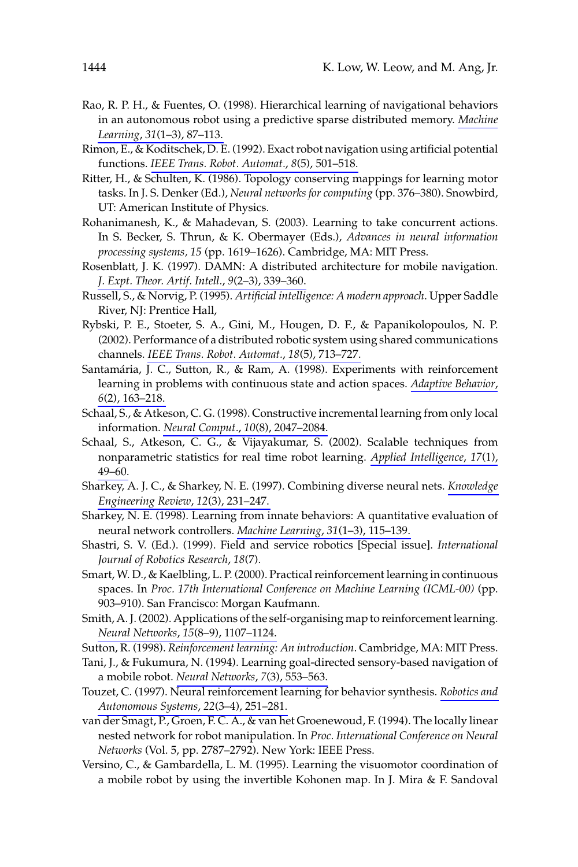- Rao, R. P. H., & Fuentes, O. (1998). Hierarchical learning of navigational behaviors in an autonomous robot using a predictive sparse distributed memory. Machine Learning, 31(1-3), 87-113.
- Rimon, E., & Koditschek, D. E. (1992). Exact robot navigation using artificial potential functions. IEEE Trans. Robot. Automat., 8(5), 501-518.
- Ritter, H., & Schulten, K. (1986). Topology conserving mappings for learning motor tasks. In J. S. Denker (Ed.), Neural networks for computing (pp. 376-380). Snowbird, UT: American Institute of Physics.
- Rohanimanesh, K., & Mahadevan, S. (2003). Learning to take concurrent actions. In S. Becker, S. Thrun, & K. Obermayer (Eds.), Advances in neural information processing systems, 15 (pp. 1619-1626). Cambridge, MA: MIT Press.
- Rosenblatt, J. K. (1997). DAMN: A distributed architecture for mobile navigation. J. Expt. Theor. Artif. Intell., 9(2-3), 339-360.
- Russell, S., & Norvig, P. (1995). Artificial intelligence: A modern approach. Upper Saddle River, NJ: Prentice Hall,
- Rybski, P. E., Stoeter, S. A., Gini, M., Hougen, D. F., & Papanikolopoulos, N. P. (2002). Performance of a distributed robotic system using shared communications channels. IEEE Trans. Robot. Automat., 18(5), 713-727.
- Santamária, J. C., Sutton, R., & Ram, A. (1998). Experiments with reinforcement learning in problems with continuous state and action spaces. Adaptive Behavior,  $6(2)$ , 163-218.
- Schaal, S., & Atkeson, C. G. (1998). Constructive incremental learning from only local information. Neural Comput., 10(8), 2047-2084.
- Schaal, S., Atkeson, C. G., & Vijayakumar, S. (2002). Scalable techniques from nonparametric statistics for real time robot learning. Applied Intelligence, 17(1),  $49 - 60$ .
- Sharkey, A. J. C., & Sharkey, N. E. (1997). Combining diverse neural nets. Knowledge Engineering Review, 12(3), 231-247.
- Sharkey, N. E. (1998). Learning from innate behaviors: A quantitative evaluation of neural network controllers. Machine Learning, 31(1-3), 115-139.
- Shastri, S. V. (Ed.). (1999). Field and service robotics [Special issue]. International Journal of Robotics Research, 18(7).
- Smart, W.D., & Kaelbling, L.P. (2000). Practical reinforcement learning in continuous spaces. In Proc. 17th International Conference on Machine Learning (ICML-00) (pp. 903-910). San Francisco: Morgan Kaufmann.
- Smith, A.J. (2002). Applications of the self-organising map to reinforcement learning. Neural Networks, 15(8-9), 1107-1124.
- Sutton, R. (1998). Reinforcement learning: An introduction. Cambridge, MA: MIT Press.
- Tani, J., & Fukumura, N. (1994). Learning goal-directed sensory-based navigation of a mobile robot. Neural Networks, 7(3), 553-563.
- Touzet, C. (1997). Neural reinforcement learning for behavior synthesis. Robotics and Autonomous Systems, 22(3-4), 251-281.
- van der Smagt, P., Groen, F. C. A., & van het Groenewoud, F. (1994). The locally linear nested network for robot manipulation. In Proc. International Conference on Neural Networks (Vol. 5, pp. 2787-2792). New York: IEEE Press.
- Versino, C., & Gambardella, L. M. (1995). Learning the visuomotor coordination of a mobile robot by using the invertible Kohonen map. In J. Mira & F. Sandoval